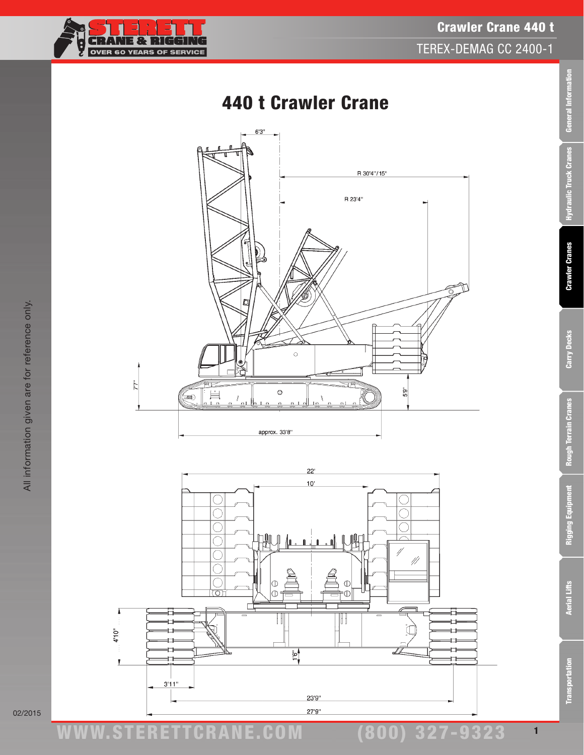Crawler Crane 440 t TEREX-DEMAG CC 2400-1

# 440 t Crawler Crane





General Information

Rigging Equipment

9323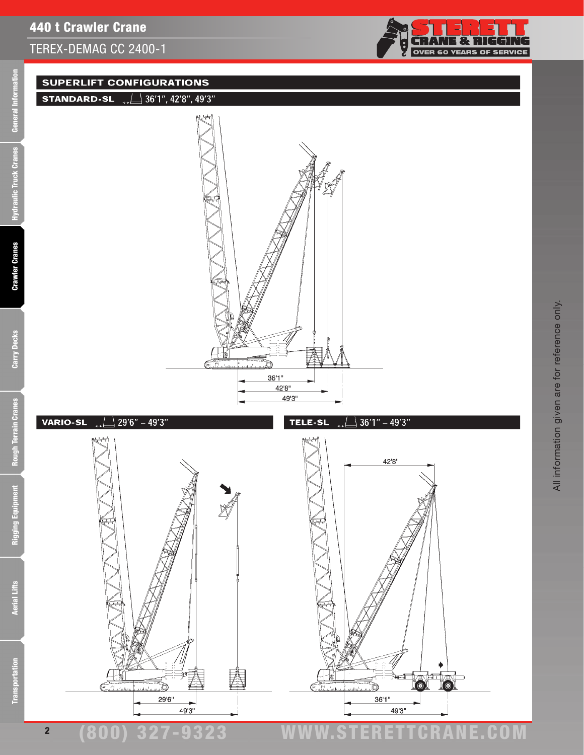

### **SUPERLIFT CONFIGURATIONS**





 $\sqrt{29'6'' - 49'3''}$ **VARIO-SL** 



(800) 327-9323 www.STERETTCRAnE.Com

Rigging Equipment

2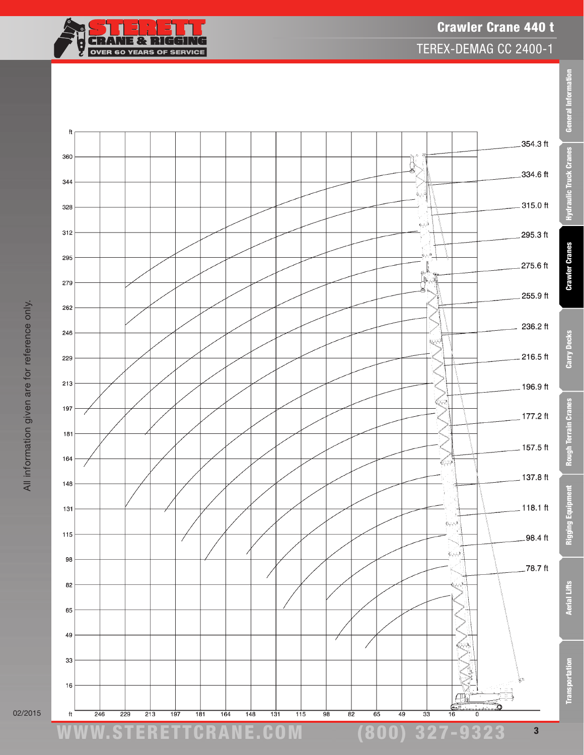

02/2015

General Information

Rigging Equipment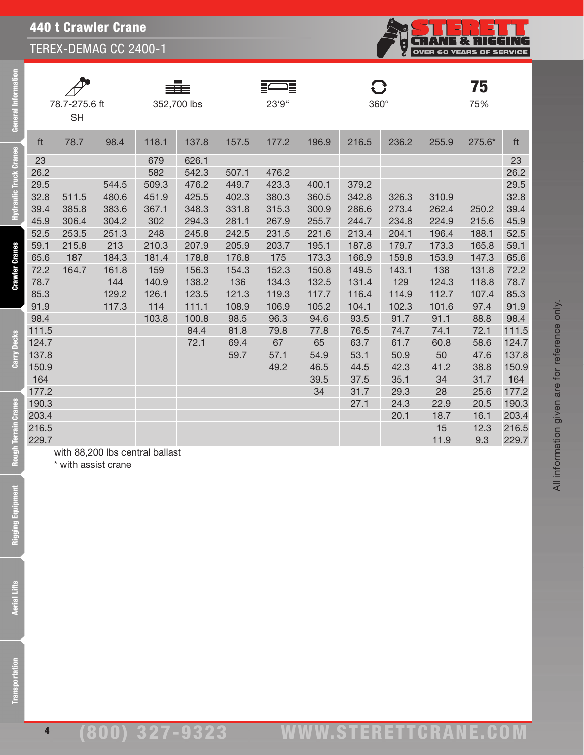|       | 78.7-275.6 ft<br><b>SH</b> |       |                                 | 352,700 lbs |       | 這<br>23'9" |       | $360^\circ$ |       |       | 75<br>75% |       |
|-------|----------------------------|-------|---------------------------------|-------------|-------|------------|-------|-------------|-------|-------|-----------|-------|
| ft    | 78.7                       | 98.4  | 118.1                           | 137.8       | 157.5 | 177.2      | 196.9 | 216.5       | 236.2 | 255.9 | 275.6*    | ft    |
| 23    |                            |       | 679                             | 626.1       |       |            |       |             |       |       |           | 23    |
| 26.2  |                            |       | 582                             | 542.3       | 507.1 | 476.2      |       |             |       |       |           | 26.2  |
| 29.5  |                            | 544.5 | 509.3                           | 476.2       | 449.7 | 423.3      | 400.1 | 379.2       |       |       |           | 29.5  |
| 32.8  | 511.5                      | 480.6 | 451.9                           | 425.5       | 402.3 | 380.3      | 360.5 | 342.8       | 326.3 | 310.9 |           | 32.8  |
| 39.4  | 385.8                      | 383.6 | 367.1                           | 348.3       | 331.8 | 315.3      | 300.9 | 286.6       | 273.4 | 262.4 | 250.2     | 39.4  |
| 45.9  | 306.4                      | 304.2 | 302                             | 294.3       | 281.1 | 267.9      | 255.7 | 244.7       | 234.8 | 224.9 | 215.6     | 45.9  |
| 52.5  | 253.5                      | 251.3 | 248                             | 245.8       | 242.5 | 231.5      | 221.6 | 213.4       | 204.1 | 196.4 | 188.1     | 52.5  |
| 59.1  | 215.8                      | 213   | 210.3                           | 207.9       | 205.9 | 203.7      | 195.1 | 187.8       | 179.7 | 173.3 | 165.8     | 59.1  |
| 65.6  | 187                        | 184.3 | 181.4                           | 178.8       | 176.8 | 175        | 173.3 | 166.9       | 159.8 | 153.9 | 147.3     | 65.6  |
| 72.2  | 164.7                      | 161.8 | 159                             | 156.3       | 154.3 | 152.3      | 150.8 | 149.5       | 143.1 | 138   | 131.8     | 72.2  |
| 78.7  |                            | 144   | 140.9                           | 138.2       | 136   | 134.3      | 132.5 | 131.4       | 129   | 124.3 | 118.8     | 78.7  |
| 85.3  |                            | 129.2 | 126.1                           | 123.5       | 121.3 | 119.3      | 117.7 | 116.4       | 114.9 | 112.7 | 107.4     | 85.3  |
| 91.9  |                            | 117.3 | 114                             | 111.1       | 108.9 | 106.9      | 105.2 | 104.1       | 102.3 | 101.6 | 97.4      | 91.9  |
| 98.4  |                            |       | 103.8                           | 100.8       | 98.5  | 96.3       | 94.6  | 93.5        | 91.7  | 91.1  | 88.8      | 98.4  |
| 111.5 |                            |       |                                 | 84.4        | 81.8  | 79.8       | 77.8  | 76.5        | 74.7  | 74.1  | 72.1      | 111.5 |
| 124.7 |                            |       |                                 | 72.1        | 69.4  | 67         | 65    | 63.7        | 61.7  | 60.8  | 58.6      | 124.7 |
| 137.8 |                            |       |                                 |             | 59.7  | 57.1       | 54.9  | 53.1        | 50.9  | 50    | 47.6      | 137.8 |
| 150.9 |                            |       |                                 |             |       | 49.2       | 46.5  | 44.5        | 42.3  | 41.2  | 38.8      | 150.9 |
| 164   |                            |       |                                 |             |       |            | 39.5  | 37.5        | 35.1  | 34    | 31.7      | 164   |
| 177.2 |                            |       |                                 |             |       |            | 34    | 31.7        | 29.3  | 28    | 25.6      | 177.2 |
| 190.3 |                            |       |                                 |             |       |            |       | 27.1        | 24.3  | 22.9  | 20.5      | 190.3 |
| 203.4 |                            |       |                                 |             |       |            |       |             | 20.1  | 18.7  | 16.1      | 203.4 |
| 216.5 |                            |       |                                 |             |       |            |       |             |       | 15    | 12.3      | 216.5 |
| 229.7 |                            |       |                                 |             |       |            |       |             |       | 11.9  | 9.3       | 229.7 |
|       |                            |       | with 88,200 lbs central ballast |             |       |            |       |             |       |       |           |       |

\* with assist crane

4

**CRANE & RIGGING**<br>OVER 60 YEARS OF SERVICE

Ş

**Cranes** 

Carry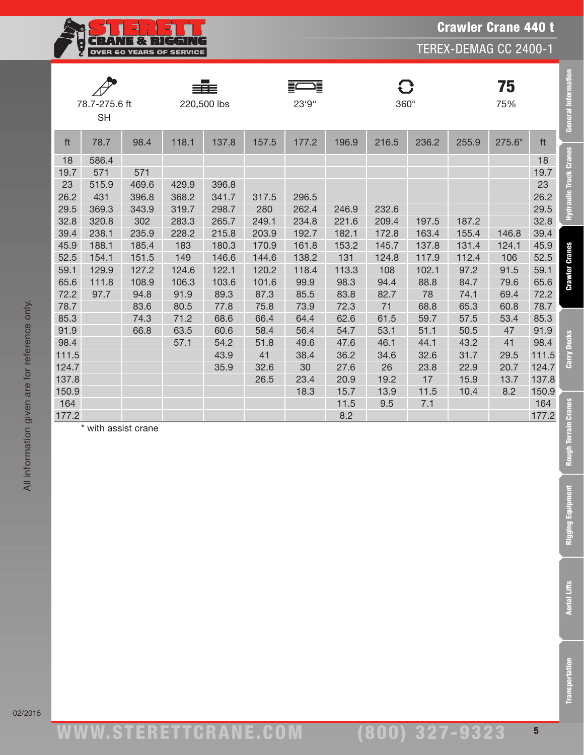

|       | 78.7-275.6 ft<br>220,500 lbs<br><b>SH</b> |       | 這<br>23'9" |       | $360^\circ$ |       |       | 75<br>75% |       | General Information    |
|-------|-------------------------------------------|-------|------------|-------|-------------|-------|-------|-----------|-------|------------------------|
| 137.8 | ft<br>98.4<br>118.1<br>78.7               | 157.5 | 177.2      | 196.9 | 216.5       | 236.2 | 255.9 | 275.6*    | ft    |                        |
|       | 18<br>586.4                               |       |            |       |             |       |       |           | 18    | Hydraulic Truck Cranes |
|       | 19.7<br>571<br>571                        |       |            |       |             |       |       |           | 19.7  |                        |
| 396.8 | 23<br>515.9<br>469.6<br>429.9             |       |            |       |             |       |       |           | 23    |                        |
| 341.7 | 26.2<br>431<br>396.8<br>368.2             | 317.5 | 296.5      |       |             |       |       |           | 26.2  |                        |
| 298.7 | 29.5<br>369.3<br>343.9<br>319.7           | 280   | 262.4      | 246.9 | 232.6       |       |       |           | 29.5  |                        |
| 265.7 | 32.8<br>302<br>283.3<br>320.8             | 249.1 | 234.8      | 221.6 | 209.4       | 197.5 | 187.2 |           | 32.8  |                        |
| 215.8 | 39.4<br>235.9<br>238.1<br>228.2           | 203.9 | 192.7      | 182.1 | 172.8       | 163.4 | 155.4 | 146.8     | 39.4  |                        |
| 180.3 | 45.9<br>188.1<br>185.4<br>183             | 170.9 | 161.8      | 153.2 | 145.7       | 137.8 | 131.4 | 124.1     | 45.9  |                        |
| 146.6 | 52.5<br>151.5<br>154.1<br>149             | 144.6 | 138.2      | 131   | 124.8       | 117.9 | 112.4 | 106       | 52.5  | <b>Crawler Cranes</b>  |
| 122.1 | 59.1<br>129.9<br>127.2<br>124.6           | 120.2 | 118.4      | 113.3 | 108         | 102.1 | 97.2  | 91.5      | 59.1  |                        |
| 103.6 | 65.6<br>111.8<br>108.9<br>106.3           | 101.6 | 99.9       | 98.3  | 94.4        | 88.8  | 84.7  | 79.6      | 65.6  |                        |
| 89.3  | 72.2<br>97.7<br>94.8<br>91.9              | 87.3  | 85.5       | 83.8  | 82.7        | 78    | 74.1  | 69.4      | 72.2  |                        |
| 77.8  | 78.7<br>83.6<br>80.5                      | 75.8  | 73.9       | 72.3  | 71          | 68.8  | 65.3  | 60.8      | 78.7  |                        |
| 68.6  | 85.3<br>74.3<br>71.2                      | 66.4  | 64.4       | 62.6  | 61.5        | 59.7  | 57.5  | 53.4      | 85.3  |                        |
| 60.6  | 91.9<br>63.5<br>66.8                      | 58.4  | 56.4       | 54.7  | 53.1        | 51.1  | 50.5  | 47        | 91.9  | <b>Decks</b>           |
| 54.2  | 98.4<br>57.1                              | 51.8  | 49.6       | 47.6  | 46.1        | 44.1  | 43.2  | 41        | 98.4  |                        |
| 43.9  | 111.5                                     | 41    | 38.4       | 36.2  | 34.6        | 32.6  | 31.7  | 29.5      | 111.5 | Carry                  |
| 35.9  | 124.7                                     | 32.6  | 30         | 27.6  | 26          | 23.8  | 22.9  | 20.7      | 124.7 |                        |
|       | 137.8                                     | 26.5  | 23.4       | 20.9  | 19.2        | 17    | 15.9  | 13.7      | 137.8 |                        |
|       | 150.9                                     |       | 18.3       | 15.7  | 13.9        | 11.5  | 10.4  | 8.2       | 150.9 |                        |
|       | 164                                       |       |            | 11.5  | 9.5         | 7.1   |       |           | 164   |                        |
|       | 177.2                                     |       |            | 8.2   |             |       |       |           | 177.2 |                        |
|       | * with assist crane                       |       |            |       |             |       |       |           |       | Rough Terrain Cranes   |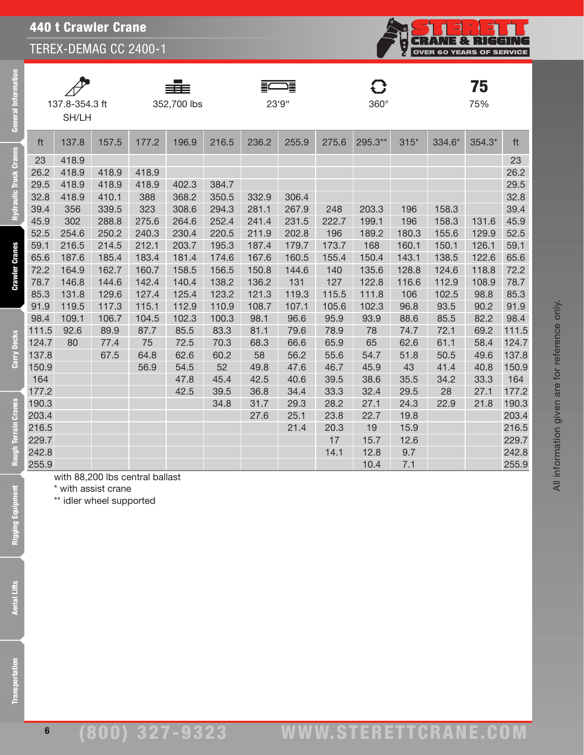440 t Crawler Crane

TEREX-DEMAG CC 2400-1



All information given are for reference only.

All information given are for reference only.

| <b>General Information</b>    |                | 137.8-354.3 ft<br>SH/LH |                                                 |                                 | 352,700 lbs    |                |                | ≣<br>23'9"     |              | $360^\circ$  |                |                | 75<br>75%      |                |
|-------------------------------|----------------|-------------------------|-------------------------------------------------|---------------------------------|----------------|----------------|----------------|----------------|--------------|--------------|----------------|----------------|----------------|----------------|
|                               | ft             | 137.8                   | 157.5                                           | 177.2                           | 196.9          | 216.5          | 236.2          | 255.9          | 275.6        | 295.3**      | $315*$         | 334.6*         | 354.3*         | ft             |
| <b>Hydraulic Truck Cranes</b> | 23             | 418.9                   |                                                 |                                 |                |                |                |                |              |              |                |                |                | 23             |
|                               | 26.2           | 418.9                   | 418.9                                           | 418.9                           |                |                |                |                |              |              |                |                |                | 26.2           |
|                               | 29.5           | 418.9                   | 418.9                                           | 418.9                           | 402.3          | 384.7          |                |                |              |              |                |                |                | 29.5           |
|                               | 32.8           | 418.9                   | 410.1                                           | 388                             | 368.2          | 350.5          | 332.9          | 306.4          |              |              |                |                |                | 32.8           |
|                               | 39.4           | 356                     | 339.5                                           | 323                             | 308.6          | 294.3          | 281.1          | 267.9          | 248          | 203.3        | 196            | 158.3          |                | 39.4           |
|                               | 45.9           | 302                     | 288.8                                           | 275.6                           | 264.6          | 252.4          | 241.4          | 231.5          | 222.7        | 199.1        | 196            | 158.3          | 131.6          | 45.9           |
|                               | 52.5<br>59.1   | 254.6<br>216.5          | 250.2<br>214.5                                  | 240.3<br>212.1                  | 230.4<br>203.7 | 220.5<br>195.3 | 211.9<br>187.4 | 202.8<br>179.7 | 196<br>173.7 | 189.2<br>168 | 180.3<br>160.1 | 155.6<br>150.1 | 129.9<br>126.1 | 52.5<br>59.1   |
|                               | 65.6           | 187.6                   | 185.4                                           | 183.4                           | 181.4          | 174.6          | 167.6          | 160.5          | 155.4        | 150.4        | 143.1          | 138.5          | 122.6          | 65.6           |
|                               | 72.2           | 164.9                   | 162.7                                           | 160.7                           | 158.5          | 156.5          | 150.8          | 144.6          | 140          | 135.6        | 128.8          | 124.6          | 118.8          | 72.2           |
| <b>Crawler Cranes</b>         | 78.7           | 146.8                   | 144.6                                           | 142.4                           | 140.4          | 138.2          | 136.2          | 131            | 127          | 122.8        | 116.6          | 112.9          | 108.9          | 78.7           |
|                               | 85.3           | 131.8                   | 129.6                                           | 127.4                           | 125.4          | 123.2          | 121.3          | 119.3          | 115.5        | 111.8        | 106            | 102.5          | 98.8           | 85.3           |
|                               | 91.9           | 119.5                   | 117.3                                           | 115.1                           | 112.9          | 110.9          | 108.7          | 107.1          | 105.6        | 102.3        | 96.8           | 93.5           | 90.2           | 91.9           |
|                               | 98.4           | 109.1                   | 106.7                                           | 104.5                           | 102.3          | 100.3          | 98.1           | 96.6           | 95.9         | 93.9         | 88.6           | 85.5           | 82.2           | 98.4           |
|                               | 111.5          | 92.6                    | 89.9                                            | 87.7                            | 85.5           | 83.3           | 81.1           | 79.6           | 78.9         | 78           | 74.7           | 72.1           | 69.2           | 111.5          |
|                               | 124.7          | 80                      | 77.4                                            | 75                              | 72.5           | 70.3           | 68.3           | 66.6           | 65.9         | 65           | 62.6           | 61.1           | 58.4           | 124.7          |
| Carry Decks                   | 137.8          |                         | 67.5                                            | 64.8                            | 62.6           | 60.2           | 58             | 56.2           | 55.6         | 54.7         | 51.8           | 50.5           | 49.6           | 137.8          |
|                               | 150.9          |                         |                                                 | 56.9                            | 54.5           | 52             | 49.8           | 47.6           | 46.7         | 45.9         | 43             | 41.4           | 40.8           | 150.9          |
|                               | 164            |                         |                                                 |                                 | 47.8           | 45.4           | 42.5           | 40.6           | 39.5         | 38.6         | 35.5           | 34.2           | 33.3           | 164            |
|                               | 177.2          |                         |                                                 |                                 | 42.5           | 39.5           | 36.8           | 34.4           | 33.3         | 32.4         | 29.5           | 28             | 27.1           | 177.2          |
|                               | 190.3<br>203.4 |                         |                                                 |                                 |                | 34.8           | 31.7           | 29.3<br>25.1   | 28.2<br>23.8 | 27.1<br>22.7 | 24.3<br>19.8   | 22.9           | 21.8           | 190.3<br>203.4 |
|                               | 216.5          |                         |                                                 |                                 |                |                | 27.6           | 21.4           | 20.3         | 19           | 15.9           |                |                | 216.5          |
|                               | 229.7          |                         |                                                 |                                 |                |                |                |                | 17           | 15.7         | 12.6           |                |                | 229.7          |
| Rough Terrain Cranes          | 242.8          |                         |                                                 |                                 |                |                |                |                | 14.1         | 12.8         | 9.7            |                |                | 242.8          |
|                               | 255.9          |                         |                                                 |                                 |                |                |                |                |              | 10.4         | 7.1            |                |                | 255.9          |
| Rigging Equipment             |                |                         | * with assist crane<br>** idler wheel supported | with 88,200 lbs central ballast |                |                |                |                |              |              |                |                |                |                |
| <b>Aerial Lifts</b>           |                |                         |                                                 |                                 |                |                |                |                |              |              |                |                |                |                |
| <b>Transportation</b>         |                |                         |                                                 |                                 |                |                |                |                |              |              |                |                |                |                |

6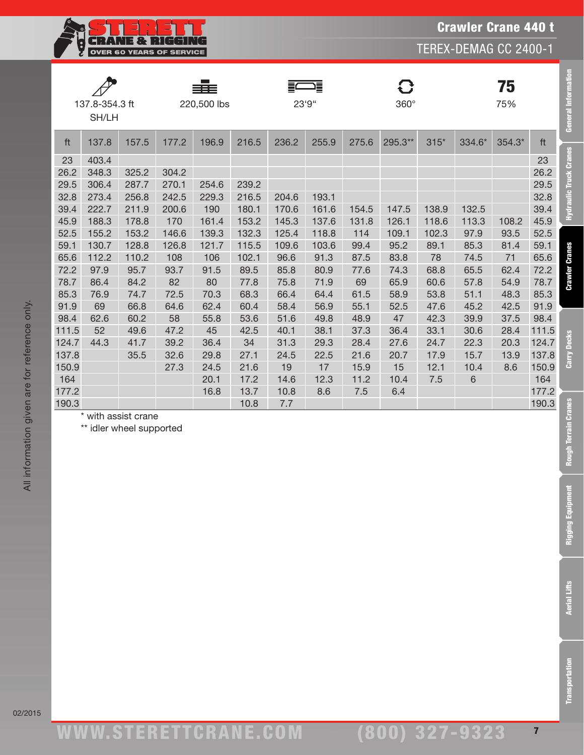**CRANE & RIGGIR** Ş OVER 60 YEARS OF SERVICE

|       |                |       |       | ≡≡≡         |       |       | 這     |       | O           |        |        | 75     |       |
|-------|----------------|-------|-------|-------------|-------|-------|-------|-------|-------------|--------|--------|--------|-------|
|       | 137.8-354.3 ft |       |       | 220,500 lbs |       | 23'9" |       |       | $360^\circ$ |        |        | 75%    |       |
|       | SH/LH          |       |       |             |       |       |       |       |             |        |        |        |       |
|       |                |       |       |             |       |       |       |       |             |        |        |        |       |
| ft    | 137.8          | 157.5 | 177.2 | 196.9       | 216.5 | 236.2 | 255.9 | 275.6 | 295.3**     | $315*$ | 334.6* | 354.3* | ft    |
| 23    | 403.4          |       |       |             |       |       |       |       |             |        |        |        | 23    |
| 26.2  | 348.3          | 325.2 | 304.2 |             |       |       |       |       |             |        |        |        | 26.2  |
| 29.5  | 306.4          | 287.7 | 270.1 | 254.6       | 239.2 |       |       |       |             |        |        |        | 29.5  |
| 32.8  | 273.4          | 256.8 | 242.5 | 229.3       | 216.5 | 204.6 | 193.1 |       |             |        |        |        | 32.8  |
| 39.4  | 222.7          | 211.9 | 200.6 | 190         | 180.1 | 170.6 | 161.6 | 154.5 | 147.5       | 138.9  | 132.5  |        | 39.4  |
| 45.9  | 188.3          | 178.8 | 170   | 161.4       | 153.2 | 145.3 | 137.6 | 131.8 | 126.1       | 118.6  | 113.3  | 108.2  | 45.9  |
| 52.5  | 155.2          | 153.2 | 146.6 | 139.3       | 132.3 | 125.4 | 118.8 | 114   | 109.1       | 102.3  | 97.9   | 93.5   | 52.5  |
| 59.1  | 130.7          | 128.8 | 126.8 | 121.7       | 115.5 | 109.6 | 103.6 | 99.4  | 95.2        | 89.1   | 85.3   | 81.4   | 59.1  |
| 65.6  | 112.2          | 110.2 | 108   | 106         | 102.1 | 96.6  | 91.3  | 87.5  | 83.8        | 78     | 74.5   | 71     | 65.6  |
| 72.2  | 97.9           | 95.7  | 93.7  | 91.5        | 89.5  | 85.8  | 80.9  | 77.6  | 74.3        | 68.8   | 65.5   | 62.4   | 72.2  |
| 78.7  | 86.4           | 84.2  | 82    | 80          | 77.8  | 75.8  | 71.9  | 69    | 65.9        | 60.6   | 57.8   | 54.9   | 78.7  |
| 85.3  | 76.9           | 74.7  | 72.5  | 70.3        | 68.3  | 66.4  | 64.4  | 61.5  | 58.9        | 53.8   | 51.1   | 48.3   | 85.3  |
| 91.9  | 69             | 66.8  | 64.6  | 62.4        | 60.4  | 58.4  | 56.9  | 55.1  | 52.5        | 47.6   | 45.2   | 42.5   | 91.9  |
| 98.4  | 62.6           | 60.2  | 58    | 55.8        | 53.6  | 51.6  | 49.8  | 48.9  | 47          | 42.3   | 39.9   | 37.5   | 98.4  |
| 111.5 | 52             | 49.6  | 47.2  | 45          | 42.5  | 40.1  | 38.1  | 37.3  | 36.4        | 33.1   | 30.6   | 28.4   | 111.5 |
| 124.7 | 44.3           | 41.7  | 39.2  | 36.4        | 34    | 31.3  | 29.3  | 28.4  | 27.6        | 24.7   | 22.3   | 20.3   | 124.7 |
| 137.8 |                | 35.5  | 32.6  | 29.8        | 27.1  | 24.5  | 22.5  | 21.6  | 20.7        | 17.9   | 15.7   | 13.9   | 137.8 |

150.9 27.3 24.5 21.6 19 17 15.9 15 12.1 10.4 8.6 150.9 164 20.1 17.2 14.6 12.3 11.2 10.4 7.5 6 164 177.2 16.8 13.7 10.8 8.6 7.5 6.4 177.2

All information given are for reference only. All information given are for reference only.

190.3 10.8 7.7 190.3 \* with assist crane

\*\* idler wheel supported

Crawler Crane 440 t TEREX-DEMAG CC 2400-1

02/2015

Transportation Aerial Lifts Rigging Equipment Rough Terrain Cranes Carry Decks Crawler Cranes Hydraulic Truck Cranes General Information

**Rough Terrain Cranes** 

**Rigging Equipment** 

**Aerial Lifts** 

**Transportation** 

Carry Decks

General Information

**Hydraulic Truck Cranes** 

**Crawler Cranes**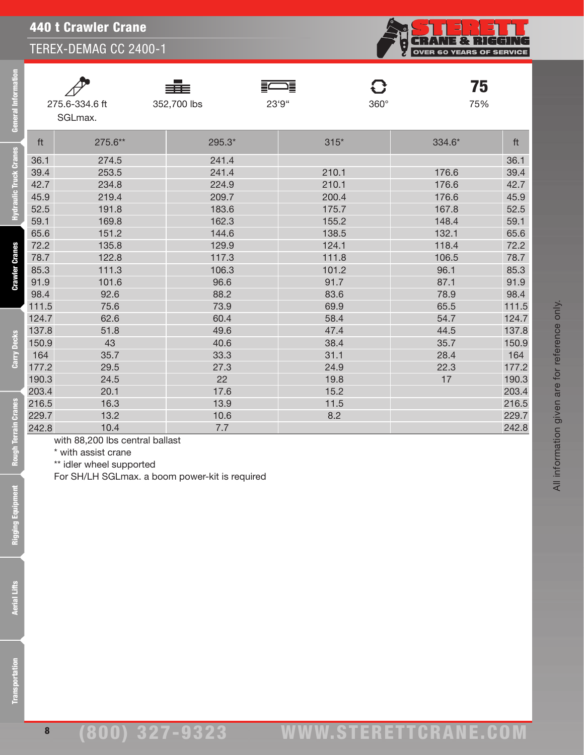|       |                | ≡≣<br>≣4    | ᆖ⋾     | 75<br>C            |       |
|-------|----------------|-------------|--------|--------------------|-------|
|       | 275.6-334.6 ft | 352,700 lbs | 23'9"  | $360^\circ$<br>75% |       |
|       | SGLmax.        |             |        |                    |       |
|       |                |             |        |                    |       |
| ft    | 275.6**        | 295.3*      | $315*$ | 334.6*             | ft    |
| 36.1  | 274.5          | 241.4       |        |                    | 36.1  |
| 39.4  | 253.5          | 241.4       | 210.1  | 176.6              | 39.4  |
| 42.7  | 234.8          | 224.9       | 210.1  | 176.6              | 42.7  |
| 45.9  | 219.4          | 209.7       | 200.4  | 176.6              | 45.9  |
| 52.5  | 191.8          | 183.6       | 175.7  | 167.8              | 52.5  |
| 59.1  | 169.8          | 162.3       | 155.2  | 148.4              | 59.1  |
| 65.6  | 151.2          | 144.6       | 138.5  | 132.1              | 65.6  |
| 72.2  | 135.8          | 129.9       | 124.1  | 118.4              | 72.2  |
| 78.7  | 122.8          | 117.3       | 111.8  | 106.5              | 78.7  |
| 85.3  | 111.3          | 106.3       | 101.2  | 96.1               | 85.3  |
| 91.9  | 101.6          | 96.6        | 91.7   | 87.1               | 91.9  |
| 98.4  | 92.6           | 88.2        | 83.6   | 78.9               | 98.4  |
| 111.5 | 75.6           | 73.9        | 69.9   | 65.5               | 111.5 |
| 124.7 | 62.6           | 60.4        | 58.4   | 54.7               | 124.7 |
| 137.8 | 51.8           | 49.6        | 47.4   | 44.5               | 137.8 |
| 150.9 | 43             | 40.6        | 38.4   | 35.7               | 150.9 |
| 164   | 35.7           | 33.3        | 31.1   | 28.4               | 164   |
| 177.2 | 29.5           | 27.3        | 24.9   | 22.3               | 177.2 |
| 190.3 | 24.5           | 22          | 19.8   | 17                 | 190.3 |
| 203.4 | 20.1           | 17.6        | 15.2   |                    | 203.4 |
| 216.5 | 16.3           | 13.9        | 11.5   |                    | 216.5 |
| 229.7 | 13.2           | 10.6        | 8.2    |                    | 229.7 |
| 242.8 | 10.4           | 7.7         |        |                    | 242.8 |

eral Information

ic Truck Cranes

with 88,200 lbs central ballast

\* with assist crane

\*\* idler wheel supported

For SH/LH SGLmax. a boom power-kit is required



All information given are for reference only.

All information given are for reference only.

**CRANE & RIGGING**<br>OVER 60 YEARS OF SERVICE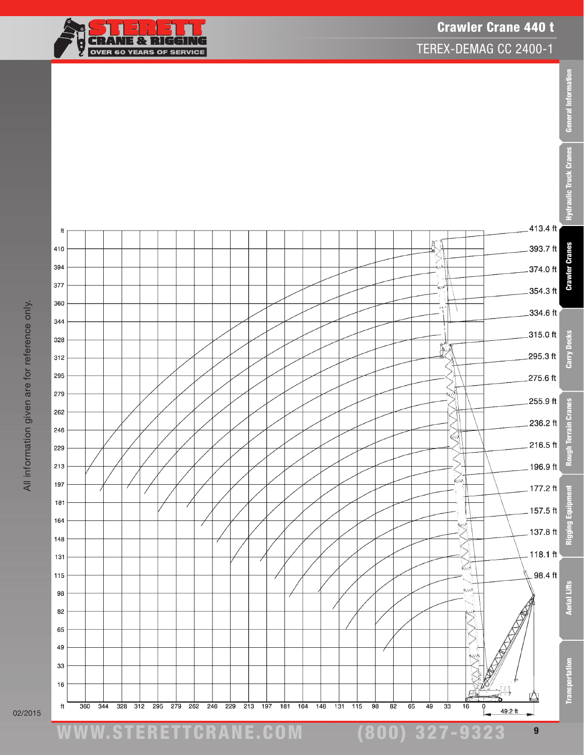General Information

TEREX-DEMAG CC 2400-1





All information given are for reference only. All information given are for reference only.

02/2015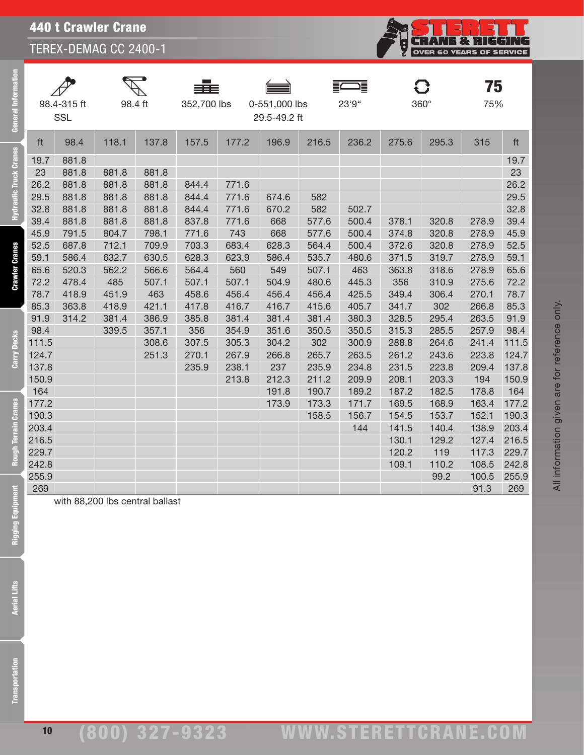## 440 t Crawler Crane

TEREX-DEMAG CC 2400-1

| Genera                        |                         | 98.4-315 ft<br><b>SSL</b> | 98.4 ft                 |                                 | 352,700 lbs             |                         | 0-551,000 lbs<br>29.5-49.2 ft |                         | 23'9"                   |                         | $360^\circ$             | 75<br>75%               |                         |
|-------------------------------|-------------------------|---------------------------|-------------------------|---------------------------------|-------------------------|-------------------------|-------------------------------|-------------------------|-------------------------|-------------------------|-------------------------|-------------------------|-------------------------|
|                               | ft                      | 98.4                      | 118.1                   | 137.8                           | 157.5                   | 177.2                   | 196.9                         | 216.5                   | 236.2                   | 275.6                   | 295.3                   | 315                     | ft                      |
| <b>Hydraulic Truck Cranes</b> | 19.7<br>23              | 881.8<br>881.8            | 881.8                   | 881.8                           |                         |                         |                               |                         |                         |                         |                         |                         | 19.7<br>23              |
|                               | 26.2<br>29.5<br>32.8    | 881.8<br>881.8<br>881.8   | 881.8<br>881.8<br>881.8 | 881.8<br>881.8<br>881.8         | 844.4<br>844.4<br>844.4 | 771.6<br>771.6<br>771.6 | 674.6<br>670.2                | 582<br>582              | 502.7                   |                         |                         |                         | 26.2<br>29.5<br>32.8    |
|                               | 39.4<br>45.9<br>52.5    | 881.8<br>791.5<br>687.8   | 881.8<br>804.7<br>712.1 | 881.8<br>798.1<br>709.9         | 837.8<br>771.6<br>703.3 | 771.6<br>743<br>683.4   | 668<br>668<br>628.3           | 577.6<br>577.6<br>564.4 | 500.4<br>500.4<br>500.4 | 378.1<br>374.8<br>372.6 | 320.8<br>320.8<br>320.8 | 278.9<br>278.9<br>278.9 | 39.4<br>45.9<br>52.5    |
| <b>Crawler Cranes</b>         | 59.1<br>65.6            | 586.4<br>520.3            | 632.7<br>562.2          | 630.5<br>566.6                  | 628.3<br>564.4          | 623.9<br>560            | 586.4<br>549                  | 535.7<br>507.1          | 480.6<br>463            | 371.5<br>363.8          | 319.7<br>318.6          | 278.9<br>278.9          | 59.1<br>65.6            |
|                               | 72.2<br>78.7<br>85.3    | 478.4<br>418.9<br>363.8   | 485<br>451.9<br>418.9   | 507.1<br>463<br>421.1           | 507.1<br>458.6<br>417.8 | 507.1<br>456.4<br>416.7 | 504.9<br>456.4<br>416.7       | 480.6<br>456.4<br>415.6 | 445.3<br>425.5<br>405.7 | 356<br>349.4<br>341.7   | 310.9<br>306.4<br>302   | 275.6<br>270.1<br>266.8 | 72.2<br>78.7<br>85.3    |
|                               | 91.9<br>98.4            | 314.2                     | 381.4<br>339.5          | 386.9<br>357.1                  | 385.8<br>356            | 381.4<br>354.9          | 381.4<br>351.6                | 381.4<br>350.5          | 380.3<br>350.5          | 328.5<br>315.3          | 295.4<br>285.5          | 263.5<br>257.9          | 91.9<br>98.4            |
| Carry Decks                   | 111.5<br>124.7<br>137.8 |                           |                         | 308.6<br>251.3                  | 307.5<br>270.1<br>235.9 | 305.3<br>267.9<br>238.1 | 304.2<br>266.8<br>237         | 302<br>265.7<br>235.9   | 300.9<br>263.5<br>234.8 | 288.8<br>261.2<br>231.5 | 264.6<br>243.6<br>223.8 | 241.4<br>223.8<br>209.4 | 111.5<br>124.7<br>137.8 |
|                               | 150.9<br>164<br>177.2   |                           |                         |                                 |                         | 213.8                   | 212.3<br>191.8<br>173.9       | 211.2<br>190.7<br>173.3 | 209.9<br>189.2<br>171.7 | 208.1<br>187.2<br>169.5 | 203.3<br>182.5<br>168.9 | 194<br>178.8<br>163.4   | 150.9<br>164<br>177.2   |
| Rough Terrain Cranes          | 190.3<br>203.4          |                           |                         |                                 |                         |                         |                               | 158.5                   | 156.7<br>144            | 154.5<br>141.5          | 153.7<br>140.4          | 152.1<br>138.9          | 190.3<br>203.4          |
|                               | 216.5<br>229.7<br>242.8 |                           |                         |                                 |                         |                         |                               |                         |                         | 130.1<br>120.2<br>109.1 | 129.2<br>119<br>110.2   | 127.4<br>117.3<br>108.5 | 216.5<br>229.7<br>242.8 |
| E                             | 255.9<br>269            |                           |                         |                                 |                         |                         |                               |                         |                         |                         | 99.2                    | 100.5<br>91.3           | 255.9<br>269            |
| Rigging Equip                 |                         |                           |                         | with 88,200 lbs central ballast |                         |                         |                               |                         |                         |                         |                         |                         |                         |
|                               |                         |                           |                         |                                 |                         |                         |                               |                         |                         |                         |                         |                         |                         |
| <b>Aerial Lifts</b>           |                         |                           |                         |                                 |                         |                         |                               |                         |                         |                         |                         |                         |                         |
|                               |                         |                           |                         |                                 |                         |                         |                               |                         |                         |                         |                         |                         |                         |
| ansportation                  |                         |                           |                         |                                 |                         |                         |                               |                         |                         |                         |                         |                         |                         |

**CRANE & RIGGING**<br>OVER 60 YEARS OF SERVICE

Ş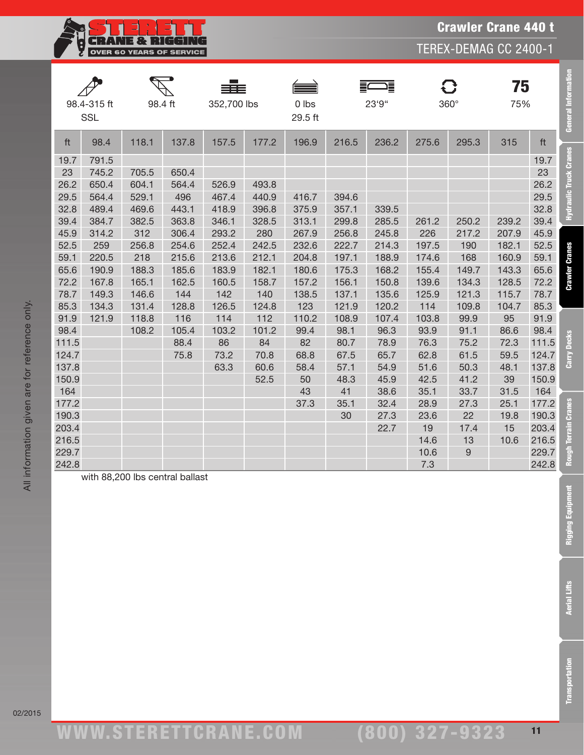

Crawler Crane 440 t

|       | 98.4-315 ft<br><b>SSL</b> | 98.4 ft                         |       | 352,700 lbs |       | 0 lbs<br>29.5 ft | 這<br>23'9" |       | $360^\circ$ |       | 75<br>75% |       | <b>General Information</b> |
|-------|---------------------------|---------------------------------|-------|-------------|-------|------------------|------------|-------|-------------|-------|-----------|-------|----------------------------|
| ft    | 98.4                      | 118.1                           | 137.8 | 157.5       | 177.2 | 196.9            | 216.5      | 236.2 | 275.6       | 295.3 | 315       | ft    |                            |
| 19.7  | 791.5                     |                                 |       |             |       |                  |            |       |             |       |           | 19.7  | Hydraulic Truck Cranes     |
| 23    | 745.2                     | 705.5                           | 650.4 |             |       |                  |            |       |             |       |           | 23    |                            |
| 26.2  | 650.4                     | 604.1                           | 564.4 | 526.9       | 493.8 |                  |            |       |             |       |           | 26.2  |                            |
| 29.5  | 564.4                     | 529.1                           | 496   | 467.4       | 440.9 | 416.7            | 394.6      |       |             |       |           | 29.5  |                            |
| 32.8  | 489.4                     | 469.6                           | 443.1 | 418.9       | 396.8 | 375.9            | 357.1      | 339.5 |             |       |           | 32.8  |                            |
| 39.4  | 384.7                     | 382.5                           | 363.8 | 346.1       | 328.5 | 313.1            | 299.8      | 285.5 | 261.2       | 250.2 | 239.2     | 39.4  |                            |
| 45.9  | 314.2                     | 312                             | 306.4 | 293.2       | 280   | 267.9            | 256.8      | 245.8 | 226         | 217.2 | 207.9     | 45.9  |                            |
| 52.5  | 259                       | 256.8                           | 254.6 | 252.4       | 242.5 | 232.6            | 222.7      | 214.3 | 197.5       | 190   | 182.1     | 52.5  |                            |
| 59.1  | 220.5                     | 218                             | 215.6 | 213.6       | 212.1 | 204.8            | 197.1      | 188.9 | 174.6       | 168   | 160.9     | 59.1  |                            |
| 65.6  | 190.9                     | 188.3                           | 185.6 | 183.9       | 182.1 | 180.6            | 175.3      | 168.2 | 155.4       | 149.7 | 143.3     | 65.6  | <b>Crawler Cranes</b>      |
| 72.2  | 167.8                     | 165.1                           | 162.5 | 160.5       | 158.7 | 157.2            | 156.1      | 150.8 | 139.6       | 134.3 | 128.5     | 72.2  |                            |
| 78.7  | 149.3                     | 146.6                           | 144   | 142         | 140   | 138.5            | 137.1      | 135.6 | 125.9       | 121.3 | 115.7     | 78.7  |                            |
| 85.3  | 134.3                     | 131.4                           | 128.8 | 126.5       | 124.8 | 123              | 121.9      | 120.2 | 114         | 109.8 | 104.7     | 85.3  |                            |
| 91.9  | 121.9                     | 118.8                           | 116   | 114         | 112   | 110.2            | 108.9      | 107.4 | 103.8       | 99.9  | 95        | 91.9  |                            |
| 98.4  |                           | 108.2                           | 105.4 | 103.2       | 101.2 | 99.4             | 98.1       | 96.3  | 93.9        | 91.1  | 86.6      | 98.4  |                            |
| 111.5 |                           |                                 | 88.4  | 86          | 84    | 82               | 80.7       | 78.9  | 76.3        | 75.2  | 72.3      | 111.5 | <b>Decks</b>               |
| 124.7 |                           |                                 | 75.8  | 73.2        | 70.8  | 68.8             | 67.5       | 65.7  | 62.8        | 61.5  | 59.5      | 124.7 | Carry                      |
| 137.8 |                           |                                 |       | 63.3        | 60.6  | 58.4             | 57.1       | 54.9  | 51.6        | 50.3  | 48.1      | 137.8 |                            |
| 150.9 |                           |                                 |       |             | 52.5  | 50               | 48.3       | 45.9  | 42.5        | 41.2  | 39        | 150.9 |                            |
| 164   |                           |                                 |       |             |       | 43               | 41         | 38.6  | 35.1        | 33.7  | 31.5      | 164   |                            |
| 177.2 |                           |                                 |       |             |       | 37.3             | 35.1       | 32.4  | 28.9        | 27.3  | 25.1      | 177.2 | <b>Cranes</b>              |
| 190.3 |                           |                                 |       |             |       |                  | 30         | 27.3  | 23.6        | 22    | 19.8      | 190.3 |                            |
| 203.4 |                           |                                 |       |             |       |                  |            | 22.7  | 19          | 17.4  | 15        | 203.4 | Terrain                    |
| 216.5 |                           |                                 |       |             |       |                  |            |       | 14.6        | 13    | 10.6      | 216.5 |                            |
| 229.7 |                           |                                 |       |             |       |                  |            |       | 10.6        | 9     |           | 229.7 | <b>Rough</b>               |
| 242.8 |                           |                                 |       |             |       |                  |            |       | 7.3         |       |           | 242.8 |                            |
|       |                           | with 88,200 lbs central ballast |       |             |       |                  |            |       |             |       |           |       |                            |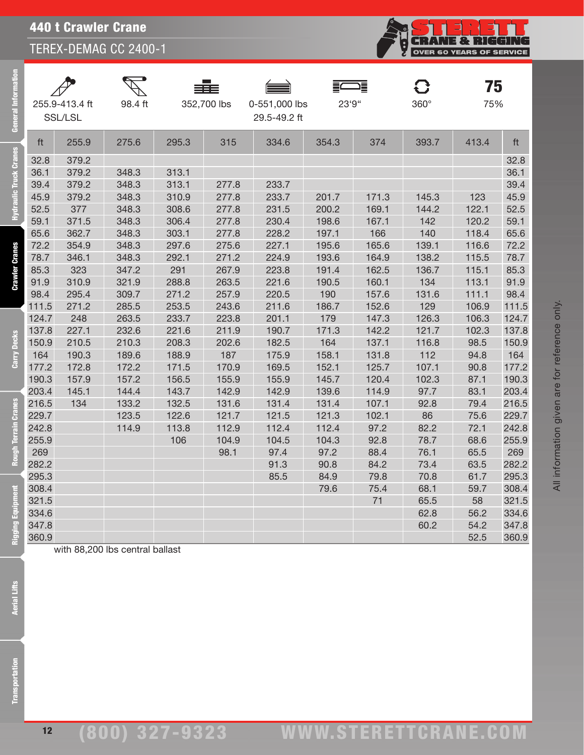# 440 t Crawler Crane

TEREX-DEMAG CC 2400-1

| ළි                    |              | 255.9-413.4 ft<br>SSL/LSL | 98.4 ft                         |                | 352,700 lbs  | 0-551,000 lbs<br>29.5-49.2 ft | 23'9"          |                | $360^\circ$  | 75<br>75%    |              |
|-----------------------|--------------|---------------------------|---------------------------------|----------------|--------------|-------------------------------|----------------|----------------|--------------|--------------|--------------|
|                       | ft           | 255.9                     | 275.6                           | 295.3          | 315          | 334.6                         | 354.3          | 374            | 393.7        | 413.4        | ft           |
| $\mathbf{\hat{c}}$    | 32.8         | 379.2                     |                                 |                |              |                               |                |                |              |              | 32.8         |
| lic Truck Cran        | 36.1         | 379.2                     | 348.3                           | 313.1          |              |                               |                |                |              |              | 36.1         |
|                       | 39.4         | 379.2                     | 348.3                           | 313.1          | 277.8        | 233.7                         |                |                |              |              | 39.4         |
|                       | 45.9         | 379.2                     | 348.3                           | 310.9          | 277.8        | 233.7                         | 201.7          | 171.3          | 145.3        | 123          | 45.9         |
|                       | 52.5         | 377                       | 348.3                           | 308.6          | 277.8        | 231.5                         | 200.2          | 169.1          | 144.2        | 122.1        | 52.5         |
|                       | 59.1         | 371.5                     | 348.3                           | 306.4          | 277.8        | 230.4                         | 198.6          | 167.1          | 142          | 120.2        | 59.1         |
|                       | 65.6         | 362.7                     | 348.3                           | 303.1          | 277.8        | 228.2                         | 197.1          | 166            | 140          | 118.4        | 65.6         |
|                       | 72.2         | 354.9                     | 348.3                           | 297.6          | 275.6        | 227.1                         | 195.6          | 165.6          | 139.1        | 116.6        | 72.2         |
| <b>Crawler Cranes</b> | 78.7         | 346.1                     | 348.3                           | 292.1          | 271.2        | 224.9                         | 193.6          | 164.9          | 138.2        | 115.5        | 78.7         |
|                       | 85.3         | 323                       | 347.2                           | 291            | 267.9        | 223.8                         | 191.4          | 162.5          | 136.7        | 115.1        | 85.3         |
|                       | 91.9         | 310.9                     | 321.9                           | 288.8          | 263.5        | 221.6                         | 190.5          | 160.1          | 134          | 113.1        | 91.9         |
|                       | 98.4         | 295.4                     | 309.7                           | 271.2          | 257.9        | 220.5                         | 190            | 157.6          | 131.6        | 111.1        | 98.4         |
|                       | 111.5        | 271.2                     | 285.5                           | 253.5          | 243.6        | 211.6                         | 186.7          | 152.6          | 129          | 106.9        | 111.5        |
|                       | 124.7        | 248                       | 263.5                           | 233.7          | 223.8        | 201.1                         | 179            | 147.3          | 126.3        | 106.3        | 124.7        |
| <b>Decks</b>          | 137.8        | 227.1                     | 232.6                           | 221.6          | 211.9        | 190.7                         | 171.3          | 142.2          | 121.7        | 102.3        | 137.8        |
|                       | 150.9        | 210.5                     | 210.3                           | 208.3          | 202.6        | 182.5                         | 164            | 137.1          | 116.8        | 98.5         | 150.9        |
| È<br>డే               | 164<br>177.2 | 190.3<br>172.8            | 189.6<br>172.2                  | 188.9<br>171.5 | 187<br>170.9 | 175.9<br>169.5                | 158.1<br>152.1 | 131.8<br>125.7 | 112<br>107.1 | 94.8         | 164<br>177.2 |
|                       | 190.3        | 157.9                     | 157.2                           | 156.5          | 155.9        | 155.9                         | 145.7          | 120.4          | 102.3        | 90.8<br>87.1 | 190.3        |
|                       | 203.4        | 145.1                     | 144.4                           | 143.7          | 142.9        | 142.9                         | 139.6          | 114.9          | 97.7         | 83.1         | 203.4        |
|                       | 216.5        | 134                       | 133.2                           | 132.5          | 131.6        | 131.4                         | 131.4          | 107.1          | 92.8         | 79.4         | 216.5        |
| <b>Cranes</b>         | 229.7        |                           | 123.5                           | 122.6          | 121.7        | 121.5                         | 121.3          | 102.1          | 86           | 75.6         | 229.7        |
|                       | 242.8        |                           | 114.9                           | 113.8          | 112.9        | 112.4                         | 112.4          | 97.2           | 82.2         | 72.1         | 242.8        |
| <b>Terrain</b>        | 255.9        |                           |                                 | 106            | 104.9        | 104.5                         | 104.3          | 92.8           | 78.7         | 68.6         | 255.9        |
|                       | 269          |                           |                                 |                | 98.1         | 97.4                          | 97.2           | 88.4           | 76.1         | 65.5         | 269          |
|                       | 282.2        |                           |                                 |                |              | 91.3                          | 90.8           | 84.2           | 73.4         | 63.5         | 282.2        |
|                       | 295.3        |                           |                                 |                |              | 85.5                          | 84.9           | 79.8           | 70.8         | 61.7         | 295.3        |
|                       | 308.4        |                           |                                 |                |              |                               | 79.6           | 75.4           | 68.1         | 59.7         | 308.4        |
|                       | 321.5        |                           |                                 |                |              |                               |                | $\sqrt{1}$     | 65.5         | 58           | 321.5        |
|                       | 334.6        |                           |                                 |                |              |                               |                |                | 62.8         | 56.2         | 334.6        |
| Rigging Equipn        | 347.8        |                           |                                 |                |              |                               |                |                | 60.2         | 54.2         | 347.8        |
|                       | 360.9        |                           |                                 |                |              |                               |                |                |              | 52.5         | 360.9        |
| <b>Aerial Lifts</b>   |              |                           | with 88,200 lbs central ballast |                |              |                               |                |                |              |              |              |
| ansportation          |              |                           |                                 |                |              |                               |                |                |              |              |              |

**CRANE & RIGGING**<br>OVER 60 YEARS OF SERVICE

i<br>k

**Aerial Lifts**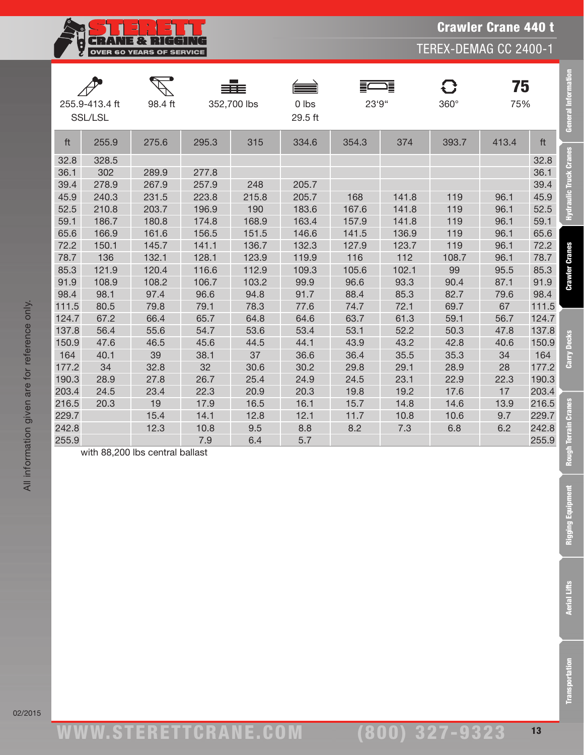TEREX-DEMAG CC 2400-1

|                | 255.9-413.4 ft<br>SSL/LSL | 98.4 ft                         |              | 352,700 lbs | $0$ lbs<br>29.5 ft | 23'9"       |             | $360^\circ$ | 75<br>75%   |                | <b>General Information</b>    |
|----------------|---------------------------|---------------------------------|--------------|-------------|--------------------|-------------|-------------|-------------|-------------|----------------|-------------------------------|
| ft             | 255.9                     | 275.6                           | 295.3        | 315         | 334.6              | 354.3       | 374         | 393.7       | 413.4       | ft             |                               |
| 32.8           | 328.5                     |                                 |              |             |                    |             |             |             |             | 32.8           | <b>Hydraulic Truck Cranes</b> |
| 36.1           | 302                       | 289.9                           | 277.8        |             |                    |             |             |             |             | 36.1           |                               |
| 39.4           | 278.9                     | 267.9                           | 257.9        | 248         | 205.7              |             |             |             |             | 39.4           |                               |
| 45.9           | 240.3                     | 231.5                           | 223.8        | 215.8       | 205.7              | 168         | 141.8       | 119         | 96.1        | 45.9           |                               |
| 52.5           | 210.8                     | 203.7                           | 196.9        | 190         | 183.6              | 167.6       | 141.8       | 119         | 96.1        | 52.5           |                               |
| 59.1           | 186.7                     | 180.8                           | 174.8        | 168.9       | 163.4              | 157.9       | 141.8       | 119         | 96.1        | 59.1           |                               |
| 65.6           | 166.9                     | 161.6                           | 156.5        | 151.5       | 146.6              | 141.5       | 136.9       | 119         | 96.1        | 65.6           |                               |
| 72.2           | 150.1                     | 145.7                           | 141.1        | 136.7       | 132.3              | 127.9       | 123.7       | 119         | 96.1        | 72.2           |                               |
| 78.7           | 136                       | 132.1                           | 128.1        | 123.9       | 119.9              | 116         | 112         | 108.7       | 96.1        | 78.7           |                               |
| 85.3           | 121.9                     | 120.4                           | 116.6        | 112.9       | 109.3              | 105.6       | 102.1       | 99          | 95.5        | 85.3           | <b>Crawler Cranes</b>         |
| 91.9           | 108.9                     | 108.2                           | 106.7        | 103.2       | 99.9               | 96.6        | 93.3        | 90.4        | 87.1        | 91.9           |                               |
| 98.4           | 98.1                      | 97.4                            | 96.6         | 94.8        | 91.7               | 88.4        | 85.3        | 82.7        | 79.6        | 98.4           |                               |
| 111.5          | 80.5                      | 79.8                            | 79.1         | 78.3        | 77.6               | 74.7        | 72.1        | 69.7        | 67          | 111.5          |                               |
| 124.7          | 67.2                      | 66.4                            | 65.7         | 64.8        | 64.6               | 63.7        | 61.3        | 59.1        | 56.7        | 124.7          |                               |
| 137.8          | 56.4                      | 55.6                            | 54.7         | 53.6        | 53.4               | 53.1        | 52.2        | 50.3        | 47.8        | 137.8          | <b>Decks</b>                  |
| 150.9          | 47.6                      | 46.5                            | 45.6         | 44.5        | 44.1               | 43.9        | 43.2        | 42.8        | 40.6        | 150.9          |                               |
| 164            | 40.1                      | 39                              | 38.1         | 37          | 36.6               | 36.4        | 35.5        | 35.3        | 34          | 164            | Carry                         |
| 177.2          | 34                        | 32.8                            | 32           | 30.6        | 30.2               | 29.8        | 29.1        | 28.9        | 28          | 177.2          |                               |
| 190.3          | 28.9                      | 27.8                            | 26.7         | 25.4        | 24.9               | 24.5        | 23.1        | 22.9        | 22.3        | 190.3          |                               |
| 203.4          | 24.5                      | 23.4                            | 22.3         | 20.9        | 20.3               | 19.8        | 19.2        | 17.6        | 17          | 203.4          |                               |
| 216.5<br>229.7 | 20.3                      | 19                              | 17.9         | 16.5        | 16.1               | 15.7        | 14.8        | 14.6        | 13.9<br>9.7 | 216.5          | <b>Cranes</b>                 |
| 242.8          |                           | 15.4<br>12.3                    | 14.1<br>10.8 | 12.8<br>9.5 | 12.1<br>8.8        | 11.7<br>8.2 | 10.8<br>7.3 | 10.6<br>6.8 | 6.2         | 229.7<br>242.8 |                               |
| 255.9          |                           |                                 | 7.9          | 6.4         | 5.7                |             |             |             |             | 255.9          |                               |
|                |                           | with 88,200 lbs central ballast |              |             |                    |             |             |             |             |                | <b>Rough Terrain</b>          |
|                |                           |                                 |              |             |                    |             |             |             |             |                | nent<br>Rigging Equipm        |
|                |                           |                                 |              |             |                    |             |             |             |             |                | <b>Aerial Lifts</b>           |
|                |                           |                                 |              |             |                    |             |             |             |             |                | ransportation                 |

**CRANE & RIGGING** OVER 60 YEARS OF SERVICE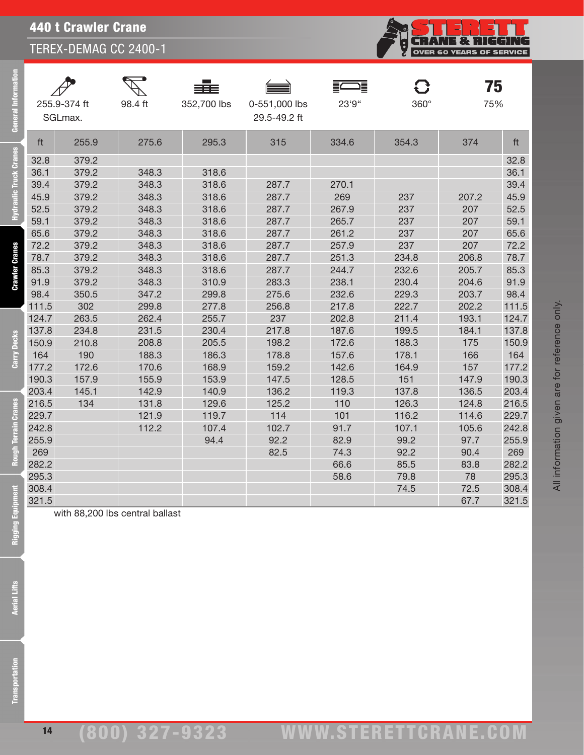440 t Crawler Crane

TEREX-DEMAG CC 2400-1

| ق                     |                | 255.9-374 ft<br>SGLmax.         | 98.4 ft        | 352,700 lbs    | 0-551,000 lbs<br>29.5-49.2 ft | 23'9"          | $360^\circ$  |              | 75<br>75%      |
|-----------------------|----------------|---------------------------------|----------------|----------------|-------------------------------|----------------|--------------|--------------|----------------|
|                       | ft             | 255.9                           | 275.6          | 295.3          | 315                           | 334.6          | 354.3        | 374          | ft             |
| <u>sa</u>             | 32.8           | 379.2                           |                |                |                               |                |              |              | 32.8           |
| raulic Truck Cran     | 36.1           | 379.2                           | 348.3          | 318.6          |                               |                |              |              | 36.1           |
|                       | 39.4           | 379.2                           | 348.3          | 318.6          | 287.7                         | 270.1          |              |              | 39.4           |
|                       | 45.9           | 379.2                           | 348.3          | 318.6          | 287.7                         | 269            | 237          | 207.2        | 45.9           |
|                       | 52.5           | 379.2                           | 348.3          | 318.6          | 287.7                         | 267.9          | 237          | 207          | 52.5           |
|                       | 59.1           | 379.2                           | 348.3          | 318.6          | 287.7                         | 265.7          | 237          | 207          | 59.1           |
|                       | 65.6           | 379.2                           | 348.3          | 318.6          | 287.7                         | 261.2          | 237          | 207          | 65.6           |
|                       | 72.2           | 379.2                           | 348.3          | 318.6          | 287.7                         | 257.9          | 237          | 207          | 72.2           |
|                       | 78.7           | 379.2                           | 348.3          | 318.6          | 287.7                         | 251.3          | 234.8        | 206.8        | 78.7           |
| <b>Crawler Cranes</b> | 85.3           | 379.2                           | 348.3          | 318.6          | 287.7                         | 244.7          | 232.6        | 205.7        | 85.3           |
|                       | 91.9           | 379.2                           | 348.3          | 310.9          | 283.3                         | 238.1          | 230.4        | 204.6        | 91.9           |
|                       | 98.4           | 350.5                           | 347.2          | 299.8          | 275.6                         | 232.6          | 229.3        | 203.7        | 98.4           |
|                       | 111.5          | 302                             | 299.8          | 277.8          | 256.8                         | 217.8          | 222.7        | 202.2        | 111.5          |
|                       | 124.7          | 263.5                           | 262.4          | 255.7          | 237                           | 202.8          | 211.4        | 193.1        | 124.7          |
| <b>Decks</b>          | 137.8          | 234.8                           | 231.5          | 230.4          | 217.8                         | 187.6          | 199.5        | 184.1        | 137.8          |
|                       | 150.9          | 210.8                           | 208.8          | 205.5          | 198.2                         | 172.6          | 188.3        | 175          | 150.9          |
| Carry                 | 164            | 190                             | 188.3          | 186.3          | 178.8                         | 157.6          | 178.1        | 166          | 164            |
|                       | 177.2<br>190.3 | 172.6<br>157.9                  | 170.6<br>155.9 | 168.9<br>153.9 | 159.2<br>147.5                | 142.6<br>128.5 | 164.9<br>151 | 157<br>147.9 | 177.2<br>190.3 |
|                       | 203.4          | 145.1                           | 142.9          | 140.9          | 136.2                         | 119.3          | 137.8        | 136.5        | 203.4          |
|                       | 216.5          | 134                             | 131.8          | 129.6          | 125.2                         | 110            | 126.3        | 124.8        | 216.5          |
| <b>Cranes</b>         | 229.7          |                                 | 121.9          | 119.7          | 114                           | 101            | 116.2        | 114.6        | 229.7          |
| rain                  | 242.8          |                                 | 112.2          | 107.4          | 102.7                         | 91.7           | 107.1        | 105.6        | 242.8          |
| è                     | 255.9          |                                 |                | 94.4           | 92.2                          | 82.9           | 99.2         | 97.7         | 255.9          |
|                       | 269            |                                 |                |                | 82.5                          | 74.3           | 92.2         | 90.4         | 269            |
| Rough                 | 282.2          |                                 |                |                |                               | 66.6           | 85.5         | 83.8         | 282.2          |
|                       | 295.3          |                                 |                |                |                               | 58.6           | 79.8         | 78           | 295.3          |
|                       | 308.4          |                                 |                |                |                               |                | 74.5         | 72.5         | 308.4          |
|                       | 321.5          |                                 |                |                |                               |                |              | 67.7         | 321.5          |
| Rigging Equipn        |                | with 88,200 lbs central ballast |                |                |                               |                |              |              |                |
| Aerial Lifts          |                |                                 |                |                |                               |                |              |              |                |
| nsportation           |                |                                 |                |                |                               |                |              |              |                |

Rigging Equ

14

All information given are for reference only.

All information given are for reference only.

**CRANE & RIGGING**<br>OVER 60 YEARS OF SERVICE

်<br>မ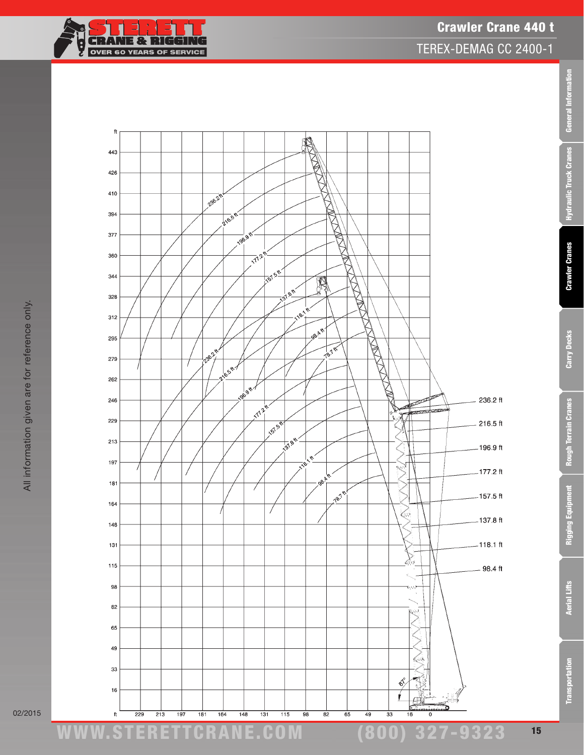

TEREX-DEMAG CC 2400-1



02/2015

Transportation Aerial Lifts Rigging Equipment Rough Terrain Cranes Carry Decks Crawler Cranes Hydraulic Truck Cranes General Information

**Rough Terrain Cranes** 

Rigging Equipment

**Aerial Lifts** 

Transportation

Carry Decks

General Information

Hydraulic Truck Cranes

**Crawler Cranes**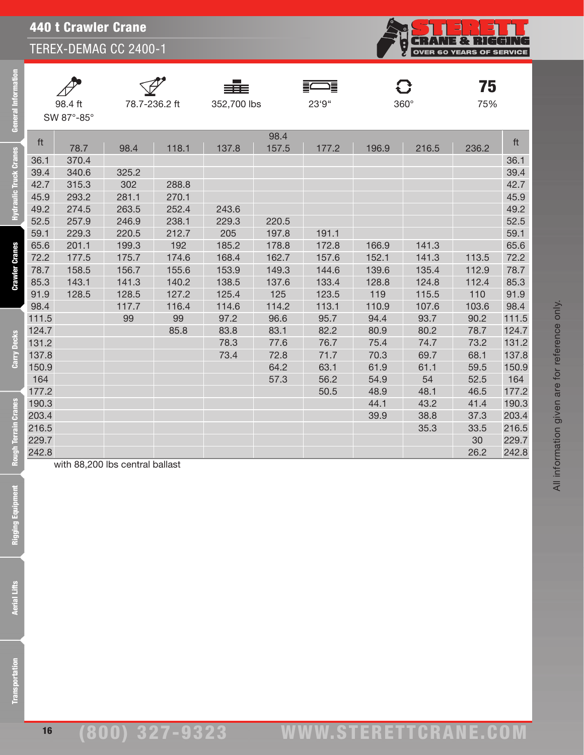

| 98.4 ft    |
|------------|
| SW 87°-85° |

eral Information

draulic Truck Cranes

**Crawler Cranes** 

Carry Decks

**Rough Terrain Cranes** 



 $\overline{78.7}$ -236.2 ft 352,700 lbs 23'9" 360°

FWE



 $75$ <sub>75%</sub>

| 98.4<br>ft<br>157.5<br>118.1<br>137.8<br>196.9<br>216.5<br>78.7<br>98.4<br>177.2<br>236.2<br>36.1<br>370.4<br>39.4<br>340.6<br>325.2<br>42.7<br>315.3<br>302<br>288.8<br>45.9<br>281.1<br>270.1<br>293.2 | ft<br>36.1<br>39.4<br>42.7<br>45.9<br>49.2<br>52.5<br>59.1<br>65.6 |
|----------------------------------------------------------------------------------------------------------------------------------------------------------------------------------------------------------|--------------------------------------------------------------------|
|                                                                                                                                                                                                          |                                                                    |
|                                                                                                                                                                                                          |                                                                    |
|                                                                                                                                                                                                          |                                                                    |
|                                                                                                                                                                                                          |                                                                    |
|                                                                                                                                                                                                          |                                                                    |
|                                                                                                                                                                                                          |                                                                    |
| 49.2<br>274.5<br>263.5<br>243.6<br>252.4                                                                                                                                                                 |                                                                    |
| 52.5<br>246.9<br>257.9<br>238.1<br>229.3<br>220.5                                                                                                                                                        |                                                                    |
| 59.1<br>229.3<br>220.5<br>212.7<br>205<br>197.8<br>191.1                                                                                                                                                 |                                                                    |
| 65.6<br>192<br>141.3<br>201.1<br>199.3<br>185.2<br>172.8<br>166.9<br>178.8                                                                                                                               |                                                                    |
| 72.2<br>175.7<br>174.6<br>168.4<br>162.7<br>157.6<br>152.1<br>141.3<br>113.5<br>177.5                                                                                                                    | 72.2                                                               |
| 78.7<br>156.7<br>155.6<br>153.9<br>149.3<br>144.6<br>139.6<br>135.4<br>112.9<br>158.5                                                                                                                    | 78.7                                                               |
| 85.3<br>143.1<br>141.3<br>140.2<br>138.5<br>133.4<br>128.8<br>124.8<br>112.4<br>137.6                                                                                                                    | 85.3                                                               |
| 91.9<br>115.5<br>110<br>128.5<br>127.2<br>125.4<br>125<br>123.5<br>119<br>128.5                                                                                                                          | 91.9                                                               |
| 98.4<br>116.4<br>114.6<br>114.2<br>113.1<br>110.9<br>107.6<br>103.6<br>117.7                                                                                                                             | 98.4                                                               |
| 111.5<br>99<br>96.6<br>90.2<br>99<br>97.2<br>95.7<br>94.4<br>93.7                                                                                                                                        | 111.5                                                              |
| 124.7<br>85.8<br>83.8<br>83.1<br>82.2<br>80.9<br>80.2<br>78.7                                                                                                                                            | 124.7                                                              |
| 131.2<br>78.3<br>77.6<br>76.7<br>75.4<br>74.7<br>73.2                                                                                                                                                    | 131.2                                                              |
| 68.1<br>137.8<br>73.4<br>71.7<br>70.3<br>69.7<br>72.8                                                                                                                                                    | 137.8                                                              |
| 59.5<br>150.9<br>64.2<br>63.1<br>61.9<br>61.1                                                                                                                                                            | 150.9                                                              |
| 164<br>54.9<br>57.3<br>56.2<br>54<br>52.5                                                                                                                                                                | 164                                                                |
| 177.2<br>46.5<br>50.5<br>48.9<br>48.1                                                                                                                                                                    | 177.2                                                              |
| 190.3<br>41.4<br>44.1<br>43.2                                                                                                                                                                            | 190.3                                                              |
| 203.4<br>39.9<br>38.8<br>37.3                                                                                                                                                                            | 203.4                                                              |
| 216.5<br>35.3<br>33.5                                                                                                                                                                                    | 216.5                                                              |
| 229.7<br>30                                                                                                                                                                                              | 229.7                                                              |
| 242.8<br>26.2                                                                                                                                                                                            | 242.8                                                              |

with 88,200 lbs central ballast

**Aerial Lifts**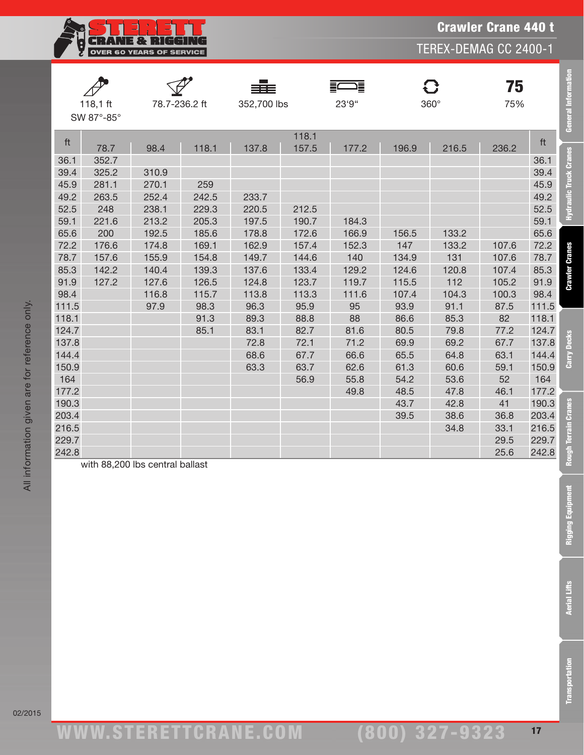

| <b>General Information</b>    |       | 75<br>75% | C<br>$360^\circ$ |       | Ē<br>23'9" |                | ≡≡≡<br>352,700 lbs |       | 78.7-236.2 ft                   | 118,1 $ft$<br>SW 87°-85° |       |
|-------------------------------|-------|-----------|------------------|-------|------------|----------------|--------------------|-------|---------------------------------|--------------------------|-------|
|                               | ft    | 236.2     | 216.5            | 196.9 | 177.2      | 118.1<br>157.5 | 137.8              | 118.1 | 98.4                            | 78.7                     | ft    |
| <b>Hydraulic Truck Cranes</b> | 36.1  |           |                  |       |            |                |                    |       |                                 | 352.7                    | 36.1  |
|                               | 39.4  |           |                  |       |            |                |                    |       | 310.9                           | 325.2                    | 39.4  |
|                               | 45.9  |           |                  |       |            |                |                    | 259   | 270.1                           | 281.1                    | 45.9  |
|                               | 49.2  |           |                  |       |            |                | 233.7              | 242.5 | 252.4                           | 263.5                    | 49.2  |
|                               | 52.5  |           |                  |       |            | 212.5          | 220.5              | 229.3 | 238.1                           | 248                      | 52.5  |
|                               | 59.1  |           |                  |       | 184.3      | 190.7          | 197.5              | 205.3 | 213.2                           | 221.6                    | 59.1  |
|                               | 65.6  |           | 133.2            | 156.5 | 166.9      | 172.6          | 178.8              | 185.6 | 192.5                           | 200                      | 65.6  |
|                               | 72.2  | 107.6     | 133.2            | 147   | 152.3      | 157.4          | 162.9              | 169.1 | 174.8                           | 176.6                    | 72.2  |
|                               | 78.7  | 107.6     | 131              | 134.9 | 140        | 144.6          | 149.7              | 154.8 | 155.9                           | 157.6                    | 78.7  |
| <b>Crawler Cranes</b>         | 85.3  | 107.4     | 120.8            | 124.6 | 129.2      | 133.4          | 137.6              | 139.3 | 140.4                           | 142.2                    | 85.3  |
|                               | 91.9  | 105.2     | 112              | 115.5 | 119.7      | 123.7          | 124.8              | 126.5 | 127.6                           | 127.2                    | 91.9  |
|                               | 98.4  | 100.3     | 104.3            | 107.4 | 111.6      | 113.3          | 113.8              | 115.7 | 116.8                           |                          | 98.4  |
|                               | 111.5 | 87.5      | 91.1             | 93.9  | 95         | 95.9           | 96.3               | 98.3  | 97.9                            |                          | 111.5 |
|                               | 118.1 | 82        | 85.3             | 86.6  | 88         | 88.8           | 89.3               | 91.3  |                                 |                          | 118.1 |
|                               | 124.7 | 77.2      | 79.8             | 80.5  | 81.6       | 82.7           | 83.1               | 85.1  |                                 |                          | 124.7 |
|                               | 137.8 | 67.7      | 69.2             | 69.9  | 71.2       | 72.1           | 72.8               |       |                                 |                          | 137.8 |
| Carry Decks                   | 144.4 | 63.1      | 64.8             | 65.5  | 66.6       | 67.7           | 68.6               |       |                                 |                          | 144.4 |
|                               | 150.9 | 59.1      | 60.6             | 61.3  | 62.6       | 63.7           | 63.3               |       |                                 |                          | 150.9 |
|                               | 164   | 52        | 53.6             | 54.2  | 55.8       | 56.9           |                    |       |                                 |                          | 164   |
|                               | 177.2 | 46.1      | 47.8             | 48.5  | 49.8       |                |                    |       |                                 |                          | 177.2 |
| <b>Cranes</b>                 | 190.3 | 41        | 42.8             | 43.7  |            |                |                    |       |                                 |                          | 190.3 |
|                               | 203.4 | 36.8      | 38.6             | 39.5  |            |                |                    |       |                                 |                          | 203.4 |
| <b>Terrain</b>                | 216.5 | 33.1      | 34.8             |       |            |                |                    |       |                                 |                          | 216.5 |
|                               | 229.7 | 29.5      |                  |       |            |                |                    |       |                                 |                          | 229.7 |
|                               | 242.8 | 25.6      |                  |       |            |                |                    |       |                                 |                          | 242.8 |
|                               |       |           |                  |       |            |                |                    |       | with 88.200 lbs central hallast |                          |       |

with 88,200 lbs central ballast

ww.TDKv.com

Transportation Aerial Lifts Rigging Equipment Rough Terrain Cranes Carry Decks Crawler Cranes Hydraulic Truck Cranes General Information

**Rigging Equipment** 

**Aerial Lifts** 

**Transportation** 

Crawler Crane 440 t

TEREX-DEMAG CC 2400-1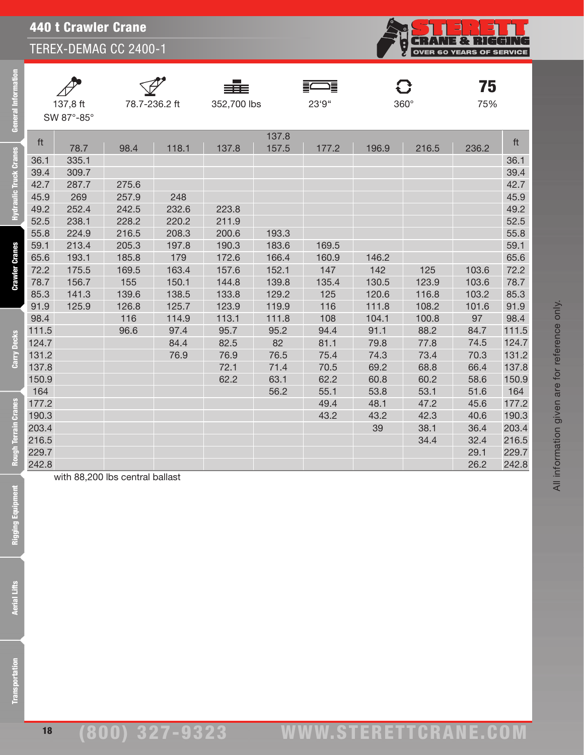

| 137.8 ft  |
|-----------|
| SW 87°-85 |

 $\blacktriangle$ 

General Information

**Hydraulic Truck Cranes** 

**Crawler Cranes** 

Carry Decks

**Rough Terrain Cranes** 





FWE



**75** 

|       | SW 87°-85° |       |       |       |       |       |       |       |       |       |
|-------|------------|-------|-------|-------|-------|-------|-------|-------|-------|-------|
|       |            |       |       |       | 137.8 |       |       |       |       |       |
| ft    | 78.7       | 98.4  | 118.1 | 137.8 | 157.5 | 177.2 | 196.9 | 216.5 | 236.2 | ft    |
| 36.1  | 335.1      |       |       |       |       |       |       |       |       | 36.1  |
| 39.4  | 309.7      |       |       |       |       |       |       |       |       | 39.4  |
| 42.7  | 287.7      | 275.6 |       |       |       |       |       |       |       | 42.7  |
| 45.9  | 269        | 257.9 | 248   |       |       |       |       |       |       | 45.9  |
| 49.2  | 252.4      | 242.5 | 232.6 | 223.8 |       |       |       |       |       | 49.2  |
| 52.5  | 238.1      | 228.2 | 220.2 | 211.9 |       |       |       |       |       | 52.5  |
| 55.8  | 224.9      | 216.5 | 208.3 | 200.6 | 193.3 |       |       |       |       | 55.8  |
| 59.1  | 213.4      | 205.3 | 197.8 | 190.3 | 183.6 | 169.5 |       |       |       | 59.1  |
| 65.6  | 193.1      | 185.8 | 179   | 172.6 | 166.4 | 160.9 | 146.2 |       |       | 65.6  |
| 72.2  | 175.5      | 169.5 | 163.4 | 157.6 | 152.1 | 147   | 142   | 125   | 103.6 | 72.2  |
| 78.7  | 156.7      | 155   | 150.1 | 144.8 | 139.8 | 135.4 | 130.5 | 123.9 | 103.6 | 78.7  |
| 85.3  | 141.3      | 139.6 | 138.5 | 133.8 | 129.2 | 125   | 120.6 | 116.8 | 103.2 | 85.3  |
| 91.9  | 125.9      | 126.8 | 125.7 | 123.9 | 119.9 | 116   | 111.8 | 108.2 | 101.6 | 91.9  |
| 98.4  |            | 116   | 114.9 | 113.1 | 111.8 | 108   | 104.1 | 100.8 | 97    | 98.4  |
| 111.5 |            | 96.6  | 97.4  | 95.7  | 95.2  | 94.4  | 91.1  | 88.2  | 84.7  | 111.5 |
| 124.7 |            |       | 84.4  | 82.5  | 82    | 81.1  | 79.8  | 77.8  | 74.5  | 124.7 |
| 131.2 |            |       | 76.9  | 76.9  | 76.5  | 75.4  | 74.3  | 73.4  | 70.3  | 131.2 |
| 137.8 |            |       |       | 72.1  | 71.4  | 70.5  | 69.2  | 68.8  | 66.4  | 137.8 |
| 150.9 |            |       |       | 62.2  | 63.1  | 62.2  | 60.8  | 60.2  | 58.6  | 150.9 |
| 164   |            |       |       |       | 56.2  | 55.1  | 53.8  | 53.1  | 51.6  | 164   |
| 177.2 |            |       |       |       |       | 49.4  | 48.1  | 47.2  | 45.6  | 177.2 |
| 190.3 |            |       |       |       |       | 43.2  | 43.2  | 42.3  | 40.6  | 190.3 |
| 203.4 |            |       |       |       |       |       | 39    | 38.1  | 36.4  | 203.4 |
| 216.5 |            |       |       |       |       |       |       | 34.4  | 32.4  | 216.5 |
| 229.7 |            |       |       |       |       |       |       |       | 29.1  | 229.7 |
| 242.8 |            |       |       |       |       |       |       |       | 26.2  | 242.8 |

Rigging Equipment

with 88,200 lbs central ballast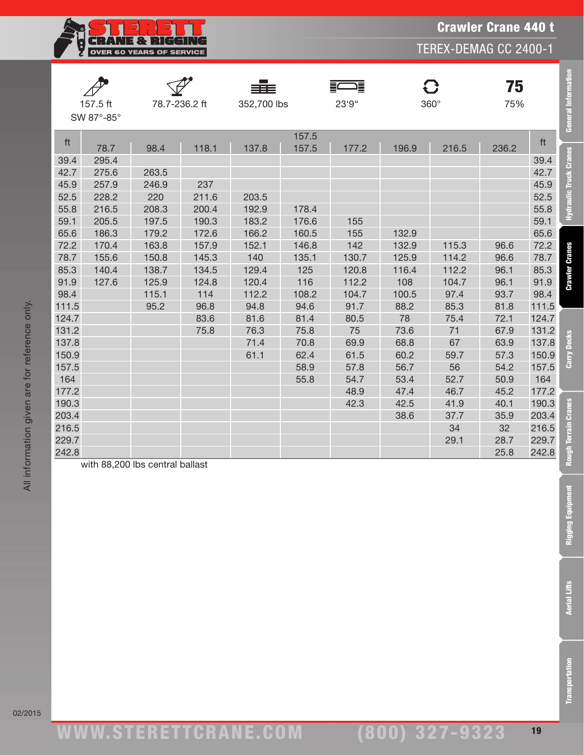**CRANE & RIGGING**<br>OVER 60 YEARS OF SERVICE Ş

TEREX-DEMAG CC 2400-1

|       | 157.5 ft<br>SW 87°-85° |                                 | 78.7-236.2 ft | 352,700 lbs |                | 這<br>23'9" |       | 0<br>$360^\circ$ | 75<br>75% |       | General Information   |
|-------|------------------------|---------------------------------|---------------|-------------|----------------|------------|-------|------------------|-----------|-------|-----------------------|
| ft    | 78.7                   | 98.4                            | 118.1         | 137.8       | 157.5<br>157.5 | 177.2      | 196.9 | 216.5            | 236.2     | ft    |                       |
| 39.4  | 295.4                  |                                 |               |             |                |            |       |                  |           | 39.4  |                       |
| 42.7  | 275.6                  | 263.5                           |               |             |                |            |       |                  |           | 42.7  | Hydraulic Truck Crar  |
| 45.9  | 257.9                  | 246.9                           | 237           |             |                |            |       |                  |           | 45.9  |                       |
| 52.5  | 228.2                  | 220                             | 211.6         | 203.5       |                |            |       |                  |           | 52.5  |                       |
| 55.8  | 216.5                  | 208.3                           | 200.4         | 192.9       | 178.4          |            |       |                  |           | 55.8  |                       |
| 59.1  | 205.5                  | 197.5                           | 190.3         | 183.2       | 176.6          | 155        |       |                  |           | 59.1  |                       |
| 65.6  | 186.3                  | 179.2                           | 172.6         | 166.2       | 160.5          | 155        | 132.9 |                  |           | 65.6  |                       |
| 72.2  | 170.4                  | 163.8                           | 157.9         | 152.1       | 146.8          | 142        | 132.9 | 115.3            | 96.6      | 72.2  |                       |
| 78.7  | 155.6                  | 150.8                           | 145.3         | 140         | 135.1          | 130.7      | 125.9 | 114.2            | 96.6      | 78.7  |                       |
| 85.3  | 140.4                  | 138.7                           | 134.5         | 129.4       | 125            | 120.8      | 116.4 | 112.2            | 96.1      | 85.3  |                       |
| 91.9  | 127.6                  | 125.9                           | 124.8         | 120.4       | 116            | 112.2      | 108   | 104.7            | 96.1      | 91.9  | <b>Crawler Cranes</b> |
| 98.4  |                        | 115.1                           | 114           | 112.2       | 108.2          | 104.7      | 100.5 | 97.4             | 93.7      | 98.4  |                       |
| 111.5 |                        | 95.2                            | 96.8          | 94.8        | 94.6           | 91.7       | 88.2  | 85.3             | 81.8      | 111.5 |                       |
| 124.7 |                        |                                 | 83.6          | 81.6        | 81.4           | 80.5       | 78    | 75.4             | 72.1      | 124.7 |                       |
| 131.2 |                        |                                 | 75.8          | 76.3        | 75.8           | 75         | 73.6  | 71               | 67.9      | 131.2 |                       |
| 137.8 |                        |                                 |               | 71.4        | 70.8           | 69.9       | 68.8  | 67               | 63.9      | 137.8 |                       |
| 150.9 |                        |                                 |               | 61.1        | 62.4           | 61.5       | 60.2  | 59.7             | 57.3      | 150.9 | Carry Decks           |
| 157.5 |                        |                                 |               |             | 58.9           | 57.8       | 56.7  | 56               | 54.2      | 157.5 |                       |
| 164   |                        |                                 |               |             | 55.8           | 54.7       | 53.4  | 52.7             | 50.9      | 164   |                       |
| 177.2 |                        |                                 |               |             |                | 48.9       | 47.4  | 46.7             | 45.2      | 177.2 |                       |
| 190.3 |                        |                                 |               |             |                | 42.3       | 42.5  | 41.9             | 40.1      | 190.3 |                       |
| 203.4 |                        |                                 |               |             |                |            | 38.6  | 37.7             | 35.9      | 203.4 | <b>Cranes</b>         |
| 216.5 |                        |                                 |               |             |                |            |       | 34               | 32        | 216.5 |                       |
| 229.7 |                        |                                 |               |             |                |            |       | 29.1             | 28.7      | 229.7 | Terrain               |
| 242.8 |                        |                                 |               |             |                |            |       |                  | 25.8      | 242.8 | <b>Rough</b>          |
|       |                        | with 88,200 lbs central ballast |               |             |                |            |       |                  |           |       |                       |

02/2015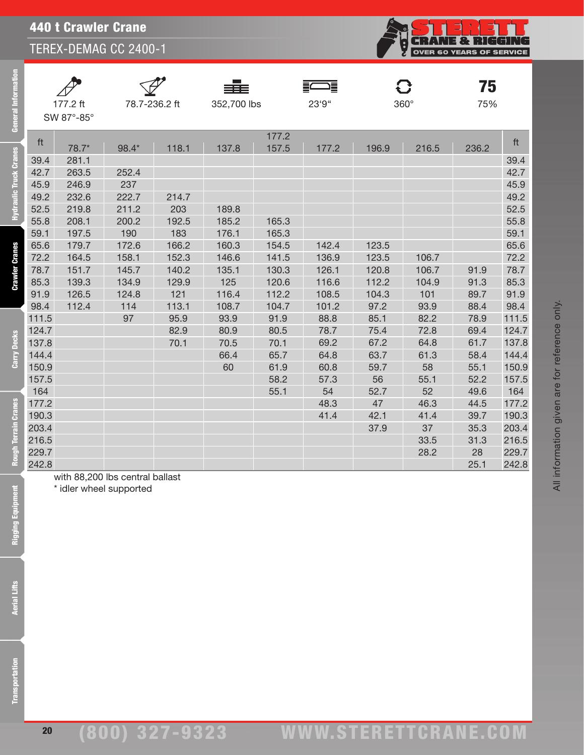

| $\not\!\!\!\!\!D$ |
|-------------------|
| 177.2 ff          |
| SW 87°-85°        |

 $\Delta$ 

eral Information

Feb

lic Truck Cranes

**Crawler Cranes** 

Carry Decks

**Rough Terrain Cranes** 







**C}** 78.7-236.2 ft 352,700 lbs 23'9" 360°

**75** 

|       |                  |       |                   |       | 177.2 |       |       |       |       |       |
|-------|------------------|-------|-------------------|-------|-------|-------|-------|-------|-------|-------|
| ft    | 78.7*            | 98.4* | 118.1             | 137.8 | 157.5 | 177.2 | 196.9 | 216.5 | 236.2 | ft    |
| 39.4  | 281.1            |       |                   |       |       |       |       |       |       | 39.4  |
| 42.7  | 263.5            | 252.4 |                   |       |       |       |       |       |       | 42.7  |
| 45.9  | 246.9            | 237   |                   |       |       |       |       |       |       | 45.9  |
| 49.2  | 232.6            | 222.7 | 214.7             |       |       |       |       |       |       | 49.2  |
| 52.5  | 219.8            | 211.2 | 203               | 189.8 |       |       |       |       |       | 52.5  |
| 55.8  | 208.1            | 200.2 | 192.5             | 185.2 | 165.3 |       |       |       |       | 55.8  |
| 59.1  | 197.5            | 190   | 183               | 176.1 | 165.3 |       |       |       |       | 59.1  |
| 65.6  | 179.7            | 172.6 | 166.2             | 160.3 | 154.5 | 142.4 | 123.5 |       |       | 65.6  |
| 72.2  | 164.5            | 158.1 | 152.3             | 146.6 | 141.5 | 136.9 | 123.5 | 106.7 |       | 72.2  |
| 78.7  | 151.7            | 145.7 | 140.2             | 135.1 | 130.3 | 126.1 | 120.8 | 106.7 | 91.9  | 78.7  |
| 85.3  | 139.3            | 134.9 | 129.9             | 125   | 120.6 | 116.6 | 112.2 | 104.9 | 91.3  | 85.3  |
| 91.9  | 126.5            | 124.8 | 121               | 116.4 | 112.2 | 108.5 | 104.3 | 101   | 89.7  | 91.9  |
| 98.4  | 112.4            | 114   | 113.1             | 108.7 | 104.7 | 101.2 | 97.2  | 93.9  | 88.4  | 98.4  |
| 111.5 |                  | 97    | 95.9              | 93.9  | 91.9  | 88.8  | 85.1  | 82.2  | 78.9  | 111.5 |
| 124.7 |                  |       | 82.9              | 80.9  | 80.5  | 78.7  | 75.4  | 72.8  | 69.4  | 124.7 |
| 137.8 |                  |       | 70.1              | 70.5  | 70.1  | 69.2  | 67.2  | 64.8  | 61.7  | 137.8 |
| 144.4 |                  |       |                   | 66.4  | 65.7  | 64.8  | 63.7  | 61.3  | 58.4  | 144.4 |
| 150.9 |                  |       |                   | 60    | 61.9  | 60.8  | 59.7  | 58    | 55.1  | 150.9 |
| 157.5 |                  |       |                   |       | 58.2  | 57.3  | 56    | 55.1  | 52.2  | 157.5 |
| 164   |                  |       |                   |       | 55.1  | 54    | 52.7  | 52    | 49.6  | 164   |
| 177.2 |                  |       |                   |       |       | 48.3  | 47    | 46.3  | 44.5  | 177.2 |
| 190.3 |                  |       |                   |       |       | 41.4  | 42.1  | 41.4  | 39.7  | 190.3 |
| 203.4 |                  |       |                   |       |       |       | 37.9  | 37    | 35.3  | 203.4 |
| 216.5 |                  |       |                   |       |       |       |       | 33.5  | 31.3  | 216.5 |
| 229.7 |                  |       |                   |       |       |       |       | 28.2  | 28    | 229.7 |
| 242.8 |                  |       |                   |       |       |       |       |       | 25.1  | 242.8 |
|       | $11$ 00.000 $II$ |       | المستطال والمستلط |       |       |       |       |       |       |       |

with 88,200 lbs central ballast

\* idler wheel supported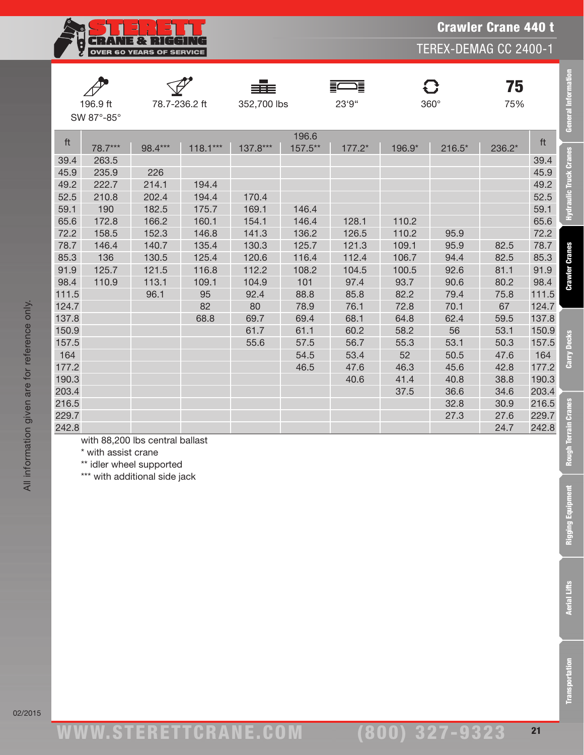

|       |            |               |            | ===         |         | 들<br>這   |        | C           | 75     |       |
|-------|------------|---------------|------------|-------------|---------|----------|--------|-------------|--------|-------|
|       | 196.9 ft   | 78.7-236.2 ft |            | 352,700 lbs |         | 23'9"    |        | $360^\circ$ | 75%    |       |
|       | SW 87°-85° |               |            |             |         |          |        |             |        |       |
|       |            |               |            |             | 196.6   |          |        |             |        |       |
| ft    | 78.7***    | 98.4***       | $118.1***$ | 137.8***    | 157.5** | $177.2*$ | 196.9* | $216.5*$    | 236.2* | ft    |
| 39.4  | 263.5      |               |            |             |         |          |        |             |        | 39.4  |
| 45.9  | 235.9      | 226           |            |             |         |          |        |             |        | 45.9  |
| 49.2  | 222.7      | 214.1         | 194.4      |             |         |          |        |             |        | 49.2  |
| 52.5  | 210.8      | 202.4         | 194.4      | 170.4       |         |          |        |             |        | 52.5  |
| 59.1  | 190        | 182.5         | 175.7      | 169.1       | 146.4   |          |        |             |        | 59.1  |
| 65.6  | 172.8      | 166.2         | 160.1      | 154.1       | 146.4   | 128.1    | 110.2  |             |        | 65.6  |
| 72.2  | 158.5      | 152.3         | 146.8      | 141.3       | 136.2   | 126.5    | 110.2  | 95.9        |        | 72.2  |
| 78.7  | 146.4      | 140.7         | 135.4      | 130.3       | 125.7   | 121.3    | 109.1  | 95.9        | 82.5   | 78.7  |
| 85.3  | 136        | 130.5         | 125.4      | 120.6       | 116.4   | 112.4    | 106.7  | 94.4        | 82.5   | 85.3  |
| 91.9  | 125.7      | 121.5         | 116.8      | 112.2       | 108.2   | 104.5    | 100.5  | 92.6        | 81.1   | 91.9  |
| 98.4  | 110.9      | 113.1         | 109.1      | 104.9       | 101     | 97.4     | 93.7   | 90.6        | 80.2   | 98.4  |
| 111.5 |            | 96.1          | 95         | 92.4        | 88.8    | 85.8     | 82.2   | 79.4        | 75.8   | 111.5 |
| 124.7 |            |               | 82         | 80          | 78.9    | 76.1     | 72.8   | 70.1        | 67     | 124.7 |
| 137.8 |            |               | 68.8       | 69.7        | 69.4    | 68.1     | 64.8   | 62.4        | 59.5   | 137.8 |
| 150.9 |            |               |            | 61.7        | 61.1    | 60.2     | 58.2   | 56          | 53.1   | 150.9 |
| 157.5 |            |               |            | 55.6        | 57.5    | 56.7     | 55.3   | 53.1        | 50.3   | 157.5 |
| 164   |            |               |            |             | 54.5    | 53.4     | 52     | 50.5        | 47.6   | 164   |
| 177.2 |            |               |            |             | 46.5    | 47.6     | 46.3   | 45.6        | 42.8   | 177.2 |
| 190.3 |            |               |            |             |         | 40.6     | 41.4   | 40.8        | 38.8   | 190.3 |
| 203.4 |            |               |            |             |         |          | 37.5   | 36.6        | 34.6   | 203.4 |
| 216.5 |            |               |            |             |         |          |        | 32.8        | 30.9   | 216.5 |
| 229.7 |            |               |            |             |         |          |        | 27.3        | 27.6   | 229.7 |
| 242.8 |            |               |            |             |         |          |        |             | 24.7   | 242.8 |

with 88,200 lbs central ballast

\* with assist crane

\*\* idler wheel supported

\*\*\* with additional side jack

General Informat

Hydraulic Truck Cranes

**Crawler Cranes** 

Carry Decks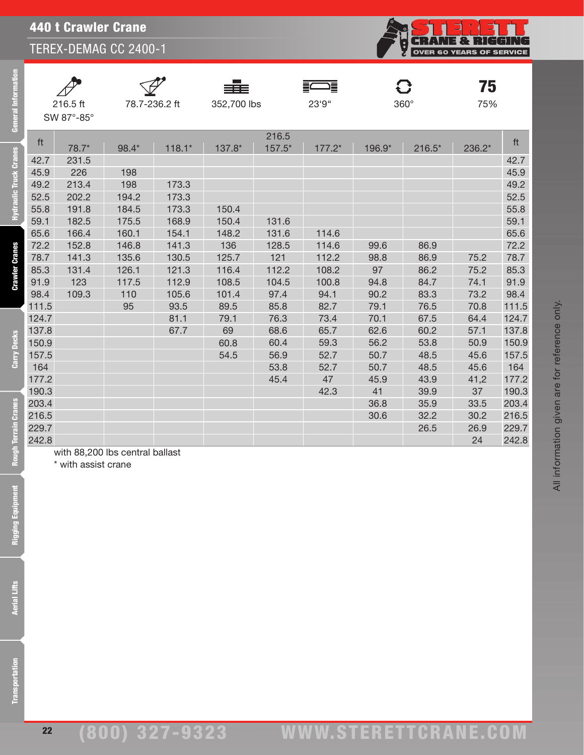

| $\oint$                  |
|--------------------------|
| 216.5 ft                 |
| $SW 87^\circ - 85^\circ$ |

 $\overline{a}$ 

eral Information

Ē

aulic Truck Cranes

**Crawler Cranes** 

Carry Decks





 $\mathbf C$ 

 $75$ <sub>75%</sub>

All information given are for reference only.

All information given are for reference only.

|       |       |                                 |          |        | 216.5  |          |        |          |        |       |
|-------|-------|---------------------------------|----------|--------|--------|----------|--------|----------|--------|-------|
| ft    | 78.7* | 98.4*                           | $118.1*$ | 137.8* | 157.5* | $177.2*$ | 196.9* | $216.5*$ | 236.2* | ft    |
| 42.7  | 231.5 |                                 |          |        |        |          |        |          |        | 42.7  |
| 45.9  | 226   | 198                             |          |        |        |          |        |          |        | 45.9  |
| 49.2  | 213.4 | 198                             | 173.3    |        |        |          |        |          |        | 49.2  |
| 52.5  | 202.2 | 194.2                           | 173.3    |        |        |          |        |          |        | 52.5  |
| 55.8  | 191.8 | 184.5                           | 173.3    | 150.4  |        |          |        |          |        | 55.8  |
| 59.1  | 182.5 | 175.5                           | 168.9    | 150.4  | 131.6  |          |        |          |        | 59.1  |
| 65.6  | 166.4 | 160.1                           | 154.1    | 148.2  | 131.6  | 114.6    |        |          |        | 65.6  |
| 72.2  | 152.8 | 146.8                           | 141.3    | 136    | 128.5  | 114.6    | 99.6   | 86.9     |        | 72.2  |
| 78.7  | 141.3 | 135.6                           | 130.5    | 125.7  | 121    | 112.2    | 98.8   | 86.9     | 75.2   | 78.7  |
| 85.3  | 131.4 | 126.1                           | 121.3    | 116.4  | 112.2  | 108.2    | 97     | 86.2     | 75.2   | 85.3  |
| 91.9  | 123   | 117.5                           | 112.9    | 108.5  | 104.5  | 100.8    | 94.8   | 84.7     | 74.1   | 91.9  |
| 98.4  | 109.3 | 110                             | 105.6    | 101.4  | 97.4   | 94.1     | 90.2   | 83.3     | 73.2   | 98.4  |
| 111.5 |       | 95                              | 93.5     | 89.5   | 85.8   | 82.7     | 79.1   | 76.5     | 70.8   | 111.5 |
| 124.7 |       |                                 | 81.1     | 79.1   | 76.3   | 73.4     | 70.1   | 67.5     | 64.4   | 124.7 |
| 137.8 |       |                                 | 67.7     | 69     | 68.6   | 65.7     | 62.6   | 60.2     | 57.1   | 137.8 |
| 150.9 |       |                                 |          | 60.8   | 60.4   | 59.3     | 56.2   | 53.8     | 50.9   | 150.9 |
| 157.5 |       |                                 |          | 54.5   | 56.9   | 52.7     | 50.7   | 48.5     | 45.6   | 157.5 |
| 164   |       |                                 |          |        | 53.8   | 52.7     | 50.7   | 48.5     | 45.6   | 164   |
| 177.2 |       |                                 |          |        | 45.4   | 47       | 45.9   | 43.9     | 41,2   | 177.2 |
| 190.3 |       |                                 |          |        |        | 42.3     | 41     | 39.9     | 37     | 190.3 |
| 203.4 |       |                                 |          |        |        |          | 36.8   | 35.9     | 33.5   | 203.4 |
| 216.5 |       |                                 |          |        |        |          | 30.6   | 32.2     | 30.2   | 216.5 |
| 229.7 |       |                                 |          |        |        |          |        | 26.5     | 26.9   | 229.7 |
| 242.8 |       |                                 |          |        |        |          |        |          | 24     | 242.8 |
|       |       | with 88,200 lbs central ballast |          |        |        |          |        |          |        |       |

\* with assist crane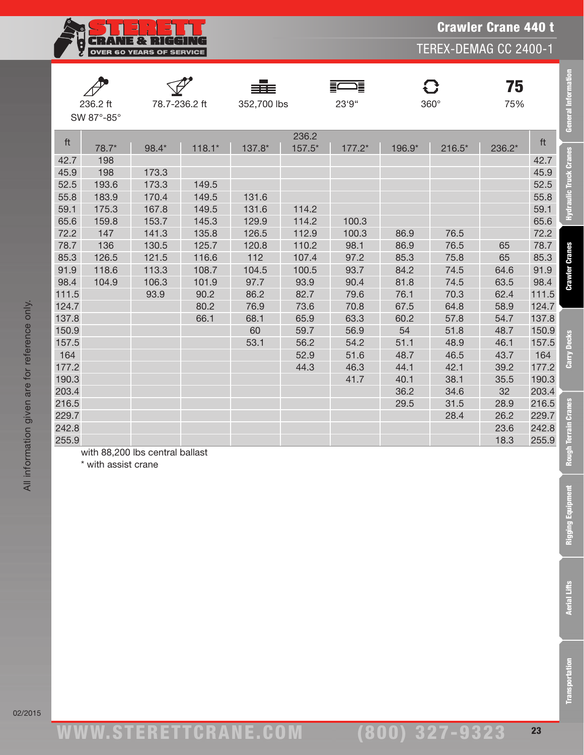**CRANE & RIGGING** Ę, OVER 60 YEARS OF SERVICE

TEREX-DEMAG CC 2400-1

|       | 236.2 ft<br>SW 87°-85° |                                 | 78.7-236.2 ft | 352,700 lbs |                 | 這<br>23'9" |        | $\mathbf G$<br>360° | 75<br>75% |       | <b>General Information</b> |
|-------|------------------------|---------------------------------|---------------|-------------|-----------------|------------|--------|---------------------|-----------|-------|----------------------------|
| ft    | 78.7*                  | 98.4*                           | $118.1*$      | 137.8*      | 236.2<br>157.5* | 177.2*     | 196.9* | $216.5*$            | 236.2*    | ft    |                            |
| 42.7  | 198                    |                                 |               |             |                 |            |        |                     |           | 42.7  | Hydraulic Truck Cranes     |
| 45.9  | 198                    | 173.3                           |               |             |                 |            |        |                     |           | 45.9  |                            |
| 52.5  | 193.6                  | 173.3                           | 149.5         |             |                 |            |        |                     |           | 52.5  |                            |
| 55.8  | 183.9                  | 170.4                           | 149.5         | 131.6       |                 |            |        |                     |           | 55.8  |                            |
| 59.1  | 175.3                  | 167.8                           | 149.5         | 131.6       | 114.2           |            |        |                     |           | 59.1  |                            |
| 65.6  | 159.8                  | 153.7                           | 145.3         | 129.9       | 114.2           | 100.3      |        |                     |           | 65.6  |                            |
| 72.2  | 147                    | 141.3                           | 135.8         | 126.5       | 112.9           | 100.3      | 86.9   | 76.5                |           | 72.2  |                            |
| 78.7  | 136                    | 130.5                           | 125.7         | 120.8       | 110.2           | 98.1       | 86.9   | 76.5                | 65        | 78.7  |                            |
| 85.3  | 126.5                  | 121.5                           | 116.6         | 112         | 107.4           | 97.2       | 85.3   | 75.8                | 65        | 85.3  | <b>Crawler Cranes</b>      |
| 91.9  | 118.6                  | 113.3                           | 108.7         | 104.5       | 100.5           | 93.7       | 84.2   | 74.5                | 64.6      | 91.9  |                            |
| 98.4  | 104.9                  | 106.3                           | 101.9         | 97.7        | 93.9            | 90.4       | 81.8   | 74.5                | 63.5      | 98.4  |                            |
| 111.5 |                        | 93.9                            | 90.2          | 86.2        | 82.7            | 79.6       | 76.1   | 70.3                | 62.4      | 111.5 |                            |
| 124.7 |                        |                                 | 80.2          | 76.9        | 73.6            | 70.8       | 67.5   | 64.8                | 58.9      | 124.7 |                            |
| 137.8 |                        |                                 | 66.1          | 68.1        | 65.9            | 63.3       | 60.2   | 57.8                | 54.7      | 137.8 |                            |
| 150.9 |                        |                                 |               | 60          | 59.7            | 56.9       | 54     | 51.8                | 48.7      | 150.9 |                            |
| 157.5 |                        |                                 |               | 53.1        | 56.2            | 54.2       | 51.1   | 48.9                | 46.1      | 157.5 |                            |
| 164   |                        |                                 |               |             | 52.9            | 51.6       | 48.7   | 46.5                | 43.7      | 164   | Carry Decks                |
| 177.2 |                        |                                 |               |             | 44.3            | 46.3       | 44.1   | 42.1                | 39.2      | 177.2 |                            |
| 190.3 |                        |                                 |               |             |                 | 41.7       | 40.1   | 38.1                | 35.5      | 190.3 |                            |
| 203.4 |                        |                                 |               |             |                 |            | 36.2   | 34.6                | 32        | 203.4 |                            |
| 216.5 |                        |                                 |               |             |                 |            | 29.5   | 31.5                | 28.9      | 216.5 | <b>Cranes</b>              |
| 229.7 |                        |                                 |               |             |                 |            |        | 28.4                | 26.2      | 229.7 |                            |
| 242.8 |                        |                                 |               |             |                 |            |        |                     | 23.6      | 242.8 |                            |
| 255.9 |                        |                                 |               |             |                 |            |        |                     | 18.3      | 255.9 |                            |
|       | * with assist crane    | with 88,200 lbs central ballast |               |             |                 |            |        |                     |           |       | Rough Terrain              |

\* with assist crane

ww.TDKv.com

(800) 327-9323

Transportation Aerial Lifts Rigging Equipment Rough Terrain Cranes Carry Decks Crawler Cranes Hydraulic Truck Cranes General Information

**Rigging Equipment** 

**Aerial Lifts** 

**Transportation**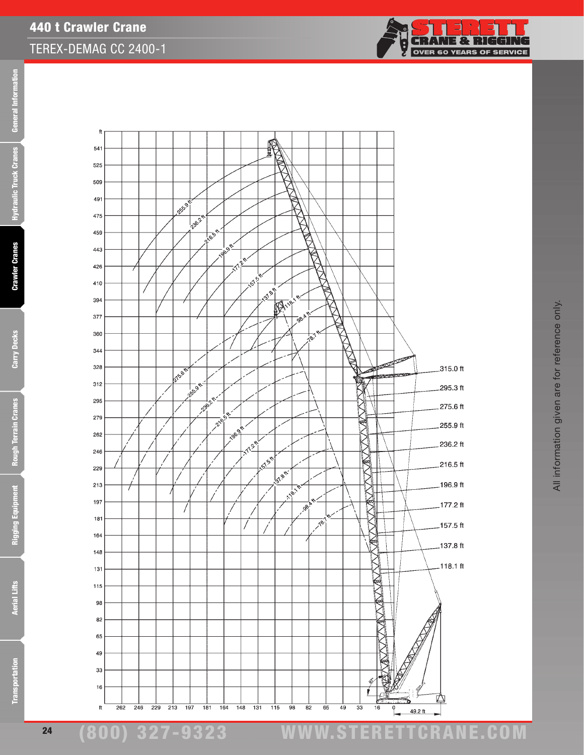

**General Information** Transportation Aerial Lifts Rigging Equipment Rough Terrain Cranes Carry Decks Crawler Cranes Hydraulic Truck Cranes General Information **Hydraulic Truck Cranes** 

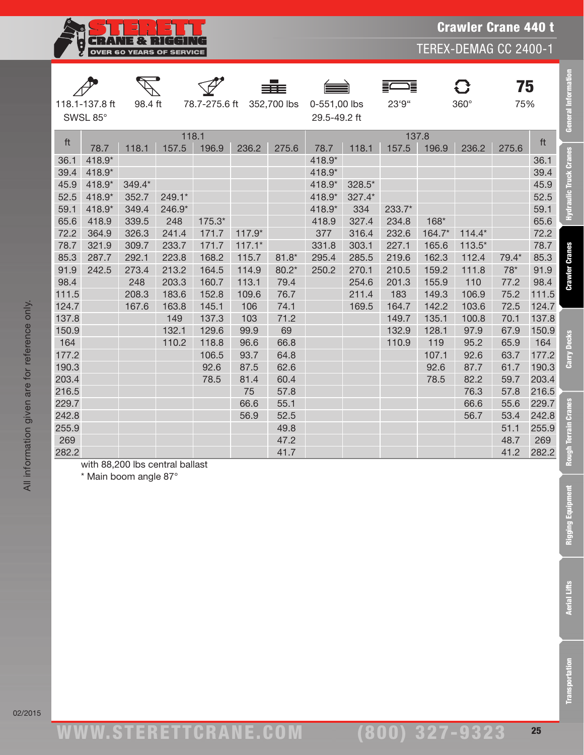

TEREX-DEMAG CC 2400-1

|              |                            |                       |                                 |               |          |              |                              |        | 這      |        | 8        | 75           |              |
|--------------|----------------------------|-----------------------|---------------------------------|---------------|----------|--------------|------------------------------|--------|--------|--------|----------|--------------|--------------|
|              | 118.1-137.8 ft<br>SWSL 85° | 98.4 ft               |                                 | 78.7-275.6 ft |          | 352,700 lbs  | 0-551,00 lbs<br>29.5-49.2 ft |        | 23'9"  |        | 360°     | 75%          |              |
|              |                            |                       | 118.1                           |               |          |              |                              |        | 137.8  |        |          |              |              |
| ft           | 78.7                       | 118.1                 | 157.5                           | 196.9         | 236.2    | 275.6        | 78.7                         | 118.1  | 157.5  | 196.9  | 236.2    | 275.6        | ft           |
| 36.1         | 418.9*                     |                       |                                 |               |          |              | 418.9*                       |        |        |        |          |              | 36.1         |
| 39.4         | 418.9*                     |                       |                                 |               |          |              | 418.9*                       |        |        |        |          |              | 39.4         |
| 45.9         | 418.9*                     | 349.4*                |                                 |               |          |              | 418.9*                       | 328.5* |        |        |          |              | 45.9         |
| 52.5         | 418.9*                     | 352.7                 | 249.1*                          |               |          |              | 418.9*                       | 327.4* |        |        |          |              | 52.5         |
| 59.1         | 418.9*                     | 349.4                 | 246.9*                          |               |          |              | 418.9*                       | 334    | 233.7* |        |          |              | 59.1         |
| 65.6         | 418.9                      | 339.5                 | 248                             | 175.3*        |          |              | 418.9                        | 327.4  | 234.8  | $168*$ |          |              | 65.6         |
| 72.2         | 364.9                      | 326.3                 | 241.4                           | 171.7         | $117.9*$ |              | 377                          | 316.4  | 232.6  | 164.7* | $114.4*$ |              | 72.2         |
| 78.7         | 321.9                      | 309.7                 | 233.7                           | 171.7         | $117.1*$ |              | 331.8                        | 303.1  | 227.1  | 165.6  | $113.5*$ |              | 78.7         |
| 85.3         | 287.7                      | 292.1                 | 223.8                           | 168.2         | 115.7    | $81.8*$      | 295.4                        | 285.5  | 219.6  | 162.3  | 112.4    | 79.4*        | 85.3         |
| 91.9         | 242.5                      | 273.4                 | 213.2                           | 164.5         | 114.9    | $80.2*$      | 250.2                        | 270.1  | 210.5  | 159.2  | 111.8    | $78*$        | 91.9         |
| 98.4         |                            | 248                   | 203.3                           | 160.7         | 113.1    | 79.4         |                              | 254.6  | 201.3  | 155.9  | 110      | 77.2         | 98.4         |
| 111.5        |                            | 208.3                 | 183.6                           | 152.8         | 109.6    | 76.7         |                              | 211.4  | 183    | 149.3  | 106.9    | 75.2         | 111.5        |
| 124.7        |                            | 167.6                 | 163.8                           | 145.1         | 106      | 74.1         |                              | 169.5  | 164.7  | 142.2  | 103.6    | 72.5         | 124.7        |
| 137.8        |                            |                       | 149                             | 137.3         | 103      | 71.2         |                              |        | 149.7  | 135.1  | 100.8    | 70.1         | 137.8        |
| 150.9        |                            |                       | 132.1                           | 129.6         | 99.9     | 69           |                              |        | 132.9  | 128.1  | 97.9     | 67.9         | 150.9        |
| 164          |                            |                       | 110.2                           | 118.8         | 96.6     | 66.8         |                              |        | 110.9  | 119    | 95.2     | 65.9         | 164          |
| 177.2        |                            |                       |                                 | 106.5         | 93.7     | 64.8         |                              |        |        | 107.1  | 92.6     | 63.7         | 177.2        |
| 190.3        |                            |                       |                                 | 92.6          | 87.5     | 62.6         |                              |        |        | 92.6   | 87.7     | 61.7         | 190.3        |
| 203.4        |                            |                       |                                 | 78.5          | 81.4     | 60.4         |                              |        |        | 78.5   | 82.2     | 59.7         | 203.4        |
| 216.5        |                            |                       |                                 |               | 75       | 57.8         |                              |        |        |        | 76.3     | 57.8         | 216.5        |
| 229.7        |                            |                       |                                 |               | 66.6     | 55.1         |                              |        |        |        | 66.6     | 55.6         | 229.7        |
| 242.8        |                            |                       |                                 |               | 56.9     | 52.5         |                              |        |        |        | 56.7     | 53.4         | 242.8        |
| 255.9<br>269 |                            |                       |                                 |               |          | 49.8<br>47.2 |                              |        |        |        |          | 51.1<br>48.7 | 255.9        |
| 282.2        |                            |                       |                                 |               |          | 41.7         |                              |        |        |        |          | 41.2         | 269<br>282.2 |
|              |                            |                       | with 88,200 lbs central ballast |               |          |              |                              |        |        |        |          |              |              |
|              |                            | * Main boom angle 87° |                                 |               |          |              |                              |        |        |        |          |              |              |
|              |                            |                       |                                 |               |          |              |                              |        |        |        |          |              |              |
|              |                            |                       |                                 |               |          |              |                              |        |        |        |          |              |              |

휸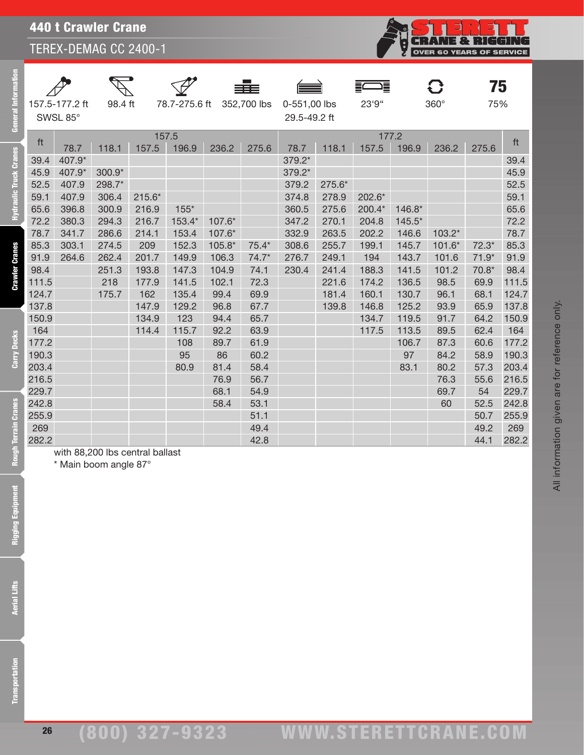j.<br>N 75  $\mathbf{C}$ **FOR SERVICE** 

|                |         | ≡≡≡ |                                        |       |             | 75  |
|----------------|---------|-----|----------------------------------------|-------|-------------|-----|
| 157.5-177.2 ft | 98.4 ft |     | 78.7-275.6 ft 352,700 lbs 0-551,00 lbs | 23'9" | $360^\circ$ | 75% |
| SWSL 85°       |         |     | 29.5-49.2 ft                           |       |             |     |

**Transportation** 

All information given are for reference only.

All information given are for reference only.

|       |                                                          |          |          |                |          |             |                              |        |                |          |          | 75      |       |
|-------|----------------------------------------------------------|----------|----------|----------------|----------|-------------|------------------------------|--------|----------------|----------|----------|---------|-------|
|       | 157.5-177.2 ft<br>SWSL 85°                               | 98.4 ft  |          | 78.7-275.6 ft  |          | 352,700 lbs | 0-551,00 lbs<br>29.5-49.2 ft |        | 23'9"          |          | 360°     | 75%     |       |
| ft    | 78.7                                                     | 118.1    | 157.5    | 157.5<br>196.9 | 236.2    | 275.6       | 78.7                         | 118.1  | 177.2<br>157.5 | 196.9    | 236.2    | 275.6   | ft    |
| 39.4  | 407.9*                                                   |          |          |                |          |             | 379.2*                       |        |                |          |          |         | 39.4  |
| 45.9  | 407.9*                                                   | $300.9*$ |          |                |          |             | 379.2*                       |        |                |          |          |         | 45.9  |
| 52.5  | 407.9                                                    | 298.7*   |          |                |          |             | 379.2                        | 275.6* |                |          |          |         | 52.5  |
| 59.1  | 407.9                                                    | 306.4    | $215.6*$ |                |          |             | 374.8                        | 278.9  | 202.6*         |          |          |         | 59.1  |
| 65.6  | 396.8                                                    | 300.9    | 216.9    | $155*$         |          |             | 360.5                        | 275.6  | 200.4*         | 146.8*   |          |         | 65.6  |
| 72.2  | 380.3                                                    | 294.3    | 216.7    | 153.4*         | 107.6*   |             | 347.2                        | 270.1  | 204.8          | $145.5*$ |          |         | 72.2  |
| 78.7  | 341.7                                                    | 286.6    | 214.1    | 153.4          | 107.6*   |             | 332.9                        | 263.5  | 202.2          | 146.6    | $103.2*$ |         | 78.7  |
| 85.3  | 303.1                                                    | 274.5    | 209      | 152.3          | $105.8*$ | $75.4*$     | 308.6                        | 255.7  | 199.1          | 145.7    | $101.6*$ | $72.3*$ | 85.3  |
| 91.9  | 264.6                                                    | 262.4    | 201.7    | 149.9          | 106.3    | $74.7*$     | 276.7                        | 249.1  | 194            | 143.7    | 101.6    | $71.9*$ | 91.9  |
| 98.4  |                                                          | 251.3    | 193.8    | 147.3          | 104.9    | 74.1        | 230.4                        | 241.4  | 188.3          | 141.5    | 101.2    | $70.8*$ | 98.4  |
| 111.5 |                                                          | 218      | 177.9    | 141.5          | 102.1    | 72.3        |                              | 221.6  | 174.2          | 136.5    | 98.5     | 69.9    | 111.5 |
| 124.7 |                                                          | 175.7    | 162      | 135.4          | 99.4     | 69.9        |                              | 181.4  | 160.1          | 130.7    | 96.1     | 68.1    | 124.7 |
| 137.8 |                                                          |          | 147.9    | 129.2          | 96.8     | 67.7        |                              | 139.8  | 146.8          | 125.2    | 93.9     | 65.9    | 137.8 |
| 150.9 |                                                          |          | 134.9    | 123            | 94.4     | 65.7        |                              |        | 134.7          | 119.5    | 91.7     | 64.2    | 150.9 |
| 164   |                                                          |          | 114.4    | 115.7          | 92.2     | 63.9        |                              |        | 117.5          | 113.5    | 89.5     | 62.4    | 164   |
| 177.2 |                                                          |          |          | 108            | 89.7     | 61.9        |                              |        |                | 106.7    | 87.3     | 60.6    | 177.2 |
| 190.3 |                                                          |          |          | 95             | 86       | 60.2        |                              |        |                | 97       | 84.2     | 58.9    | 190.3 |
| 203.4 |                                                          |          |          | 80.9           | 81.4     | 58.4        |                              |        |                | 83.1     | 80.2     | 57.3    | 203.4 |
| 216.5 |                                                          |          |          |                | 76.9     | 56.7        |                              |        |                |          | 76.3     | 55.6    | 216.5 |
| 229.7 |                                                          |          |          |                | 68.1     | 54.9        |                              |        |                |          | 69.7     | 54      | 229.7 |
| 242.8 |                                                          |          |          |                | 58.4     | 53.1        |                              |        |                |          | 60       | 52.5    | 242.8 |
| 255.9 |                                                          |          |          |                |          | 51.1        |                              |        |                |          |          | 50.7    | 255.9 |
| 269   |                                                          |          |          |                |          | 49.4        |                              |        |                |          |          | 49.2    | 269   |
| 282.2 |                                                          |          |          |                |          | 42.8        |                              |        |                |          |          | 44.1    | 282.2 |
|       | with 88,200 lbs central ballast<br>* Main boom angle 87° |          |          |                |          |             |                              |        |                |          |          |         |       |
|       |                                                          |          |          |                |          |             |                              |        |                |          |          |         |       |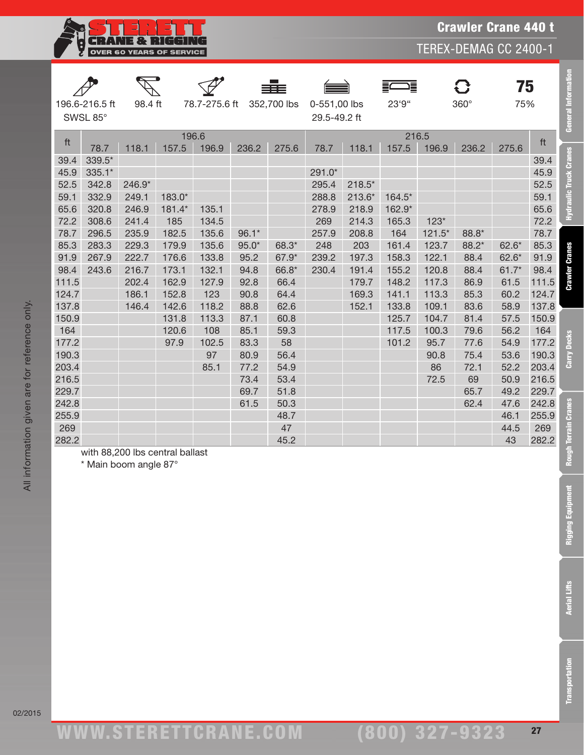

TEREX-DEMAG CC 2400-1

| 196.6-216.5 ft | 98.4 ft | 78.7-275.6 ft 352,700 lbs 0-551,00 lbs |              |
|----------------|---------|----------------------------------------|--------------|
| SWSL 85°       |         |                                        | 29.5-49.2 ft |







| <b>General Information</b>             |                                                         | 75<br>75%                                             | 360°                                                   |                                                                | 這<br>23'9"                                                |                                                           | 0-551,00 lbs<br>29.5-49.2 ft               | 352,700 lbs                                        |                                                            | 78.7-275.6 ft                                             |                                                             | 98.4 ft                                                     | 196.6-216.5 ft<br>SWSL 85°                             |                                                           |
|----------------------------------------|---------------------------------------------------------|-------------------------------------------------------|--------------------------------------------------------|----------------------------------------------------------------|-----------------------------------------------------------|-----------------------------------------------------------|--------------------------------------------|----------------------------------------------------|------------------------------------------------------------|-----------------------------------------------------------|-------------------------------------------------------------|-------------------------------------------------------------|--------------------------------------------------------|-----------------------------------------------------------|
| ft                                     |                                                         | 275.6                                                 | 236.2                                                  | 196.9                                                          | 216.5<br>157.5                                            | 118.1                                                     | 78.7                                       | 275.6                                              | 236.2                                                      | 196.9                                                     | 196.6<br>157.5                                              | 118.1                                                       | 78.7                                                   | ft                                                        |
| Hydraulic Truck Cranes<br>72.2         | 39.4<br>45.9<br>52.5<br>59.1<br>65.6                    |                                                       |                                                        | $123*$                                                         | 164.5*<br>162.9*<br>165.3                                 | $218.5*$<br>$213.6*$<br>218.9<br>214.3                    | $291.0*$<br>295.4<br>288.8<br>278.9<br>269 |                                                    |                                                            | 135.1<br>134.5                                            | 183.0*<br>181.4*<br>185                                     | 246.9*<br>249.1<br>246.9<br>241.4                           | 339.5*<br>$335.1*$<br>342.8<br>332.9<br>320.8<br>308.6 | 39.4<br>45.9<br>52.5<br>59.1<br>65.6<br>72.2              |
| <b>Crawler Cranes</b>                  | 78.7<br>85.3<br>91.9<br>98.4<br>111.5<br>124.7<br>137.8 | $62.6*$<br>$62.6*$<br>$61.7*$<br>61.5<br>60.2<br>58.9 | 88.8*<br>88.2*<br>88.4<br>88.4<br>86.9<br>85.3<br>83.6 | $121.5*$<br>123.7<br>122.1<br>120.8<br>117.3<br>113.3<br>109.1 | 164<br>161.4<br>158.3<br>155.2<br>148.2<br>141.1<br>133.8 | 208.8<br>203<br>197.3<br>191.4<br>179.7<br>169.3<br>152.1 | 257.9<br>248<br>239.2<br>230.4             | 68.3*<br>67.9*<br>66.8*<br>66.4<br>64.4<br>62.6    | $96.1*$<br>$95.0*$<br>95.2<br>94.8<br>92.8<br>90.8<br>88.8 | 135.6<br>135.6<br>133.8<br>132.1<br>127.9<br>123<br>118.2 | 182.5<br>179.9<br>176.6<br>173.1<br>162.9<br>152.8<br>142.6 | 235.9<br>229.3<br>222.7<br>216.7<br>202.4<br>186.1<br>146.4 | 296.5<br>283.3<br>267.9<br>243.6                       | 78.7<br>85.3<br>91.9<br>98.4<br>111.5<br>124.7<br>137.8   |
| 150.9<br>Carry Decks<br>177.2<br>190.3 | 164<br>203.4<br>216.5<br>229.7                          | 57.5<br>56.2<br>54.9<br>53.6<br>52.2<br>50.9<br>49.2  | 81.4<br>79.6<br>77.6<br>75.4<br>72.1<br>69<br>65.7     | 104.7<br>100.3<br>95.7<br>90.8<br>86<br>72.5                   | 125.7<br>117.5<br>101.2                                   |                                                           |                                            | 60.8<br>59.3<br>58<br>56.4<br>54.9<br>53.4<br>51.8 | 87.1<br>85.1<br>83.3<br>80.9<br>77.2<br>73.4<br>69.7       | 113.3<br>108<br>102.5<br>97<br>85.1                       | 131.8<br>120.6<br>97.9                                      |                                                             |                                                        | 150.9<br>164<br>177.2<br>190.3<br>203.4<br>216.5<br>229.7 |
| Rough Terrain Cranes                   | 242.8<br>255.9<br>269<br>282.2                          | 47.6<br>46.1<br>44.5<br>43                            | 62.4                                                   |                                                                |                                                           |                                                           |                                            | 50.3<br>48.7<br>47<br>45.2                         | 61.5                                                       |                                                           | with 88,200 lbs central ballast                             |                                                             | * Main boom angle 87°                                  | 242.8<br>255.9<br>269<br>282.2                            |
| <b>Rigging Equipment</b>               |                                                         |                                                       |                                                        |                                                                |                                                           |                                                           |                                            |                                                    |                                                            |                                                           |                                                             |                                                             |                                                        |                                                           |
| <b>Aerial Lifts</b>                    |                                                         |                                                       |                                                        |                                                                |                                                           |                                                           |                                            |                                                    |                                                            |                                                           |                                                             |                                                             |                                                        |                                                           |
| <b>ransportation</b>                   |                                                         |                                                       |                                                        |                                                                |                                                           |                                                           |                                            |                                                    |                                                            |                                                           |                                                             |                                                             |                                                        |                                                           |

All information given are for reference only.

All information given are for reference only.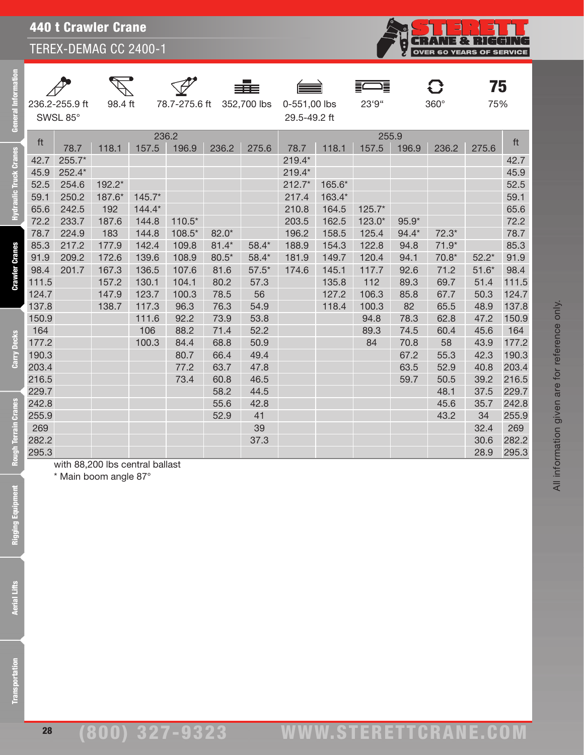**CRANE & RIGGING OVER 60 YEARS OF SERVICE** 

All information given are for reference only.

All information given are for reference only.

|                |         |                                        | 332 | $\equiv$     |                       |             | 75  |
|----------------|---------|----------------------------------------|-----|--------------|-----------------------|-------------|-----|
| 236.2-255.9 ft | 98.4 ft | 78.7-275.6 ft 352,700 lbs 0-551,00 lbs |     |              | $23^{\circ}9^{\circ}$ | $360^\circ$ | 75% |
| SWSL 85°       |         |                                        |     | 29.5-49.2 ft |                       |             |     |

eral Ē

28

| 177.2 | 100.3 | 84.4 | 68.8 | 50.9 |  | 84 | 70.8 | 58   | 43.9       | 177.2 |
|-------|-------|------|------|------|--|----|------|------|------------|-------|
| 190.3 |       | 80.7 | 66.4 | 49.4 |  |    | 67.2 | 55.3 | 42.3       | 190.3 |
| 203.4 |       | 77.2 | 63.7 | 47.8 |  |    | 63.5 | 52.9 | 40.8       | 203.4 |
| 216.5 |       | 73.4 | 60.8 | 46.5 |  |    | 59.7 | 50.5 | 39.2 216.5 |       |
| 229.7 |       |      | 58.2 | 44.5 |  |    |      | 48.1 | 37.5 229.7 |       |
| 242.8 |       |      | 55.6 | 42.8 |  |    |      | 45.6 | 35.7       | 242.8 |
| 255.9 |       |      | 52.9 | 41   |  |    |      | 43.2 | 34         | 255.9 |

ft 236.2 255.9 ft 78.7 118.1 157.5 196.9 236.2 275.6 78.7 118.1 157.5 196.9 236.2 275.6 42.7 255.7\* 219.4\* |42.7 45.9 252.4\* 219.4\* 45.9 52.5 254.6 192.2\* 212.7\* 165.6\* 52.5 59.1 250.2 187.6\* 145.7\* 217.4 163.4\* 59.1 65.6 242.5 192 144.4\* 210.8 164.5 125.7\* 65.6 72.2 233.7 187.6 144.8 110.5\* 203.5 162.5 123.0\* 95.9\* 72.2 78.7 224.9 183 144.8 108.5\* 82.0\* 196.2 158.5 125.4 94.4\* 72.3\* 78.7 85.3 217.2 177.9 142.4 109.8 81.4\* 58.4\* 188.9 154.3 122.8 94.8 71.9\* 85.3 91.9 209.2 172.6 139.6 108.9 80.5\* 58.4\* 181.9 149.7 120.4 94.1 70.8\* 52.2\* 91.9 98.4 201.7 167.3 136.5 107.6 81.6 57.5\* 174.6 145.1 117.7 92.6 71.2 51.6\* 98.4 111.5 157.2 130.1 104.1 80.2 57.3 135.8 112 89.3 69.7 51.4 111.5 124.7 147.9 123.7 100.3 78.5 56 127.2 106.3 85.8 67.7 50.3 124.7 137.8 138.7 117.3 96.3 76.3 54.9 118.4 100.3 82 65.5 48.9 137.8 150.9 111.6 92.2 73.9 53.8 94.8 78.3 62.8 47.2 150.9 164 106 88.2 71.4 52.2 89.3 74.5 60.4 45.6 164

269 39 32.4 269 282.2 37.3 30.6 282.2 295.3 28.9 295.3

with 88,200 lbs central ballast

\* Main boom angle 87°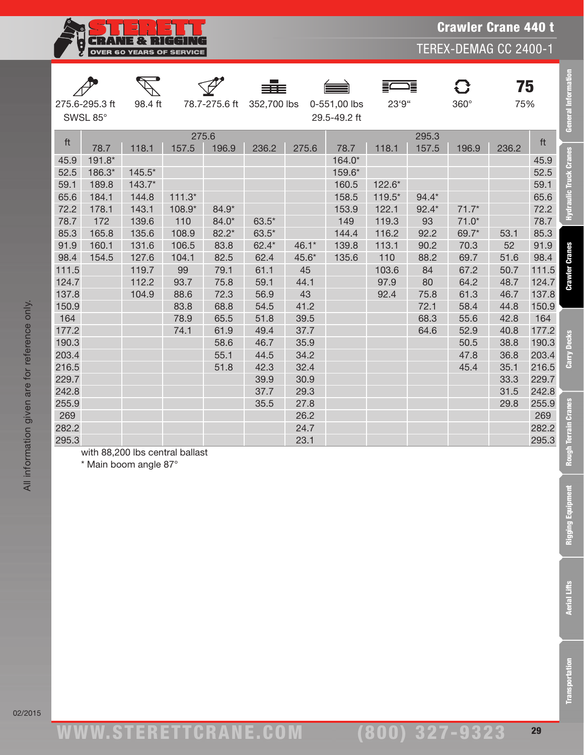

TEREX-DEMAG CC 2400-1

|              | 275.6-295.3 ft  | 98.4 ft                         |          | 78.7-275.6 ft | 352,700 lbs |       | 0-551,00 lbs    | 23'9"    | 這       | 8<br>$360^\circ$ | 75<br>75% |              | General Information   |
|--------------|-----------------|---------------------------------|----------|---------------|-------------|-------|-----------------|----------|---------|------------------|-----------|--------------|-----------------------|
|              | SWSL 85°        |                                 |          |               |             |       | 29.5-49.2 ft    |          |         |                  |           |              |                       |
| ft           |                 |                                 | 275.6    |               |             |       |                 |          | 295.3   |                  |           | ft           |                       |
|              | 78.7            | 118.1                           | 157.5    | 196.9         | 236.2       | 275.6 | 78.7            | 118.1    | 157.5   | 196.9            | 236.2     |              | <b>Cranes</b>         |
| 45.9         | 191.8*          |                                 |          |               |             |       | 164.0*          |          |         |                  |           | 45.9         |                       |
| 52.5<br>59.1 | 186.3*<br>189.8 | $145.5*$<br>$143.7*$            |          |               |             |       | 159.6*<br>160.5 | 122.6*   |         |                  |           | 52.5<br>59.1 | <b>lic Truck</b>      |
| 65.6         | 184.1           | 144.8                           | $111.3*$ |               |             |       | 158.5           | $119.5*$ | $94.4*$ |                  |           | 65.6         |                       |
| 72.2         | 178.1           | 143.1                           | 108.9*   | 84.9*         |             |       | 153.9           | 122.1    | $92.4*$ | $71.7*$          |           | 72.2         | Hydrau                |
| 78.7         | 172             | 139.6                           | 110      | 84.0*         | $63.5*$     |       | 149             | 119.3    | 93      | $71.0*$          |           | 78.7         |                       |
| 85.3         | 165.8           | 135.6                           | 108.9    | 82.2*         | $63.5*$     |       | 144.4           | 116.2    | 92.2    | 69.7*            | 53.1      | 85.3         |                       |
| 91.9         | 160.1           | 131.6                           | 106.5    | 83.8          | $62.4*$     | 46.1* | 139.8           | 113.1    | 90.2    | 70.3             | 52        | 91.9         |                       |
| 98.4         | 154.5           | 127.6                           | 104.1    | 82.5          | 62.4        | 45.6* | 135.6           | 110      | 88.2    | 69.7             | 51.6      | 98.4         |                       |
| 111.5        |                 | 119.7                           | 99       | 79.1          | 61.1        | 45    |                 | 103.6    | 84      | 67.2             | 50.7      | 111.5        |                       |
| 124.7        |                 | 112.2                           | 93.7     | 75.8          | 59.1        | 44.1  |                 | 97.9     | 80      | 64.2             | 48.7      | 124.7        | <b>Crawler Cranes</b> |
| 137.8        |                 | 104.9                           | 88.6     | 72.3          | 56.9        | 43    |                 | 92.4     | 75.8    | 61.3             | 46.7      | 137.8        |                       |
| 150.9        |                 |                                 | 83.8     | 68.8          | 54.5        | 41.2  |                 |          | 72.1    | 58.4             | 44.8      | 150.9        |                       |
| 164          |                 |                                 | 78.9     | 65.5          | 51.8        | 39.5  |                 |          | 68.3    | 55.6             | 42.8      | 164          |                       |
| 177.2        |                 |                                 | 74.1     | 61.9          | 49.4        | 37.7  |                 |          | 64.6    | 52.9             | 40.8      | 177.2        | S                     |
| 190.3        |                 |                                 |          | 58.6          | 46.7        | 35.9  |                 |          |         | 50.5             | 38.8      | 190.3        | ن<br>م                |
| 203.4        |                 |                                 |          | 55.1          | 44.5        | 34.2  |                 |          |         | 47.8             | 36.8      | 203.4        |                       |
| 216.5        |                 |                                 |          | 51.8          | 42.3        | 32.4  |                 |          |         | 45.4             | 35.1      | 216.5        | తె                    |
| 229.7        |                 |                                 |          |               | 39.9        | 30.9  |                 |          |         |                  | 33.3      | 229.7        |                       |
| 242.8        |                 |                                 |          |               | 37.7        | 29.3  |                 |          |         |                  | 31.5      | 242.8        |                       |
| 255.9        |                 |                                 |          |               | 35.5        | 27.8  |                 |          |         |                  | 29.8      | 255.9        | <b>Cranes</b>         |
| 269          |                 |                                 |          |               |             | 26.2  |                 |          |         |                  |           | 269          |                       |
| 282.2        |                 |                                 |          |               |             | 24.7  |                 |          |         |                  |           | 282.2        |                       |
| 295.3        |                 |                                 |          |               |             | 23.1  |                 |          |         |                  |           | 295.3        |                       |
|              |                 | with 88,200 lbs central ballast |          |               |             |       |                 |          |         |                  |           |              | <b>Rough Terrain</b>  |
|              |                 | * Main boom angle 87°           |          |               |             |       |                 |          |         |                  |           |              |                       |
|              |                 |                                 |          |               |             |       |                 |          |         |                  |           |              |                       |
|              |                 |                                 |          |               |             |       |                 |          |         |                  |           |              | nent                  |
|              |                 |                                 |          |               |             |       |                 |          |         |                  |           |              | <b>Rigging Equip</b>  |
|              |                 |                                 |          |               |             |       |                 |          |         |                  |           |              |                       |
|              |                 |                                 |          |               |             |       |                 |          |         |                  |           |              |                       |
|              |                 |                                 |          |               |             |       |                 |          |         |                  |           |              |                       |
|              |                 |                                 |          |               |             |       |                 |          |         |                  |           |              |                       |
|              |                 |                                 |          |               |             |       |                 |          |         |                  |           |              |                       |
|              |                 |                                 |          |               |             |       |                 |          |         |                  |           |              |                       |
|              |                 |                                 |          |               |             |       |                 |          |         |                  |           |              | <b>Aerial Lifts</b>   |
|              |                 |                                 |          |               |             |       |                 |          |         |                  |           |              |                       |
|              |                 |                                 |          |               |             |       |                 |          |         |                  |           |              |                       |
|              |                 |                                 |          |               |             |       |                 |          |         |                  |           |              |                       |
|              |                 |                                 |          |               |             |       |                 |          |         |                  |           |              |                       |
|              |                 |                                 |          |               |             |       |                 |          |         |                  |           |              |                       |
|              |                 |                                 |          |               |             |       |                 |          |         |                  |           |              | ransportation         |
|              |                 |                                 |          |               |             |       |                 |          |         |                  |           |              |                       |
|              |                 |                                 |          |               |             |       |                 |          |         |                  |           |              |                       |

Rough